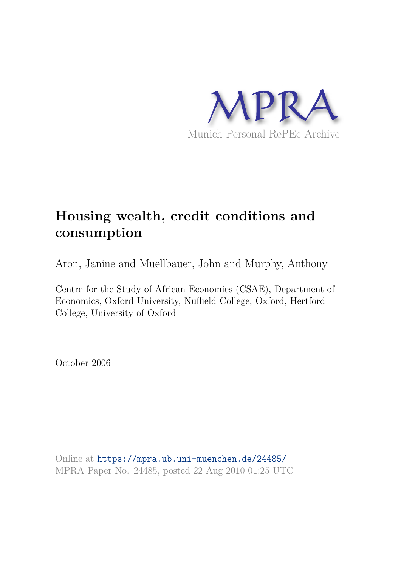

# **Housing wealth, credit conditions and consumption**

Aron, Janine and Muellbauer, John and Murphy, Anthony

Centre for the Study of African Economies (CSAE), Department of Economics, Oxford University, Nuffield College, Oxford, Hertford College, University of Oxford

October 2006

Online at https://mpra.ub.uni-muenchen.de/24485/ MPRA Paper No. 24485, posted 22 Aug 2010 01:25 UTC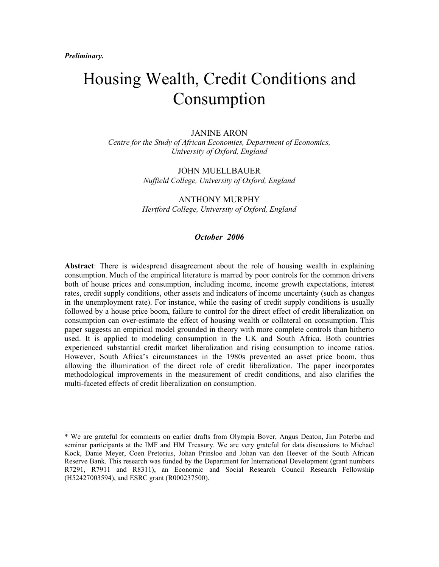# Housing Wealth, Credit Conditions and Consumption

**JANINE ARON** Centre for the Study of African Economies, Department of Economics, University of Oxford, England

> **JOHN MUELLBAUER** Nuffield College, University of Oxford, England

> **ANTHONY MURPHY** Hertford College, University of Oxford, England

#### October 2006

**Abstract:** There is widespread disagreement about the role of housing wealth in explaining consumption. Much of the empirical literature is marred by poor controls for the common drivers both of house prices and consumption, including income, income growth expectations, interest rates, credit supply conditions, other assets and indicators of income uncertainty (such as changes in the unemployment rate). For instance, while the easing of credit supply conditions is usually followed by a house price boom, failure to control for the direct effect of credit liberalization on consumption can over-estimate the effect of housing wealth or collateral on consumption. This paper suggests an empirical model grounded in theory with more complete controls than hitherto used. It is applied to modeling consumption in the UK and South Africa. Both countries experienced substantial credit market liberalization and rising consumption to income ratios. However, South Africa's circumstances in the 1980s prevented an asset price boom, thus allowing the illumination of the direct role of credit liberalization. The paper incorporates methodological improvements in the measurement of credit conditions, and also clarifies the multi-faceted effects of credit liberalization on consumption.

<sup>\*</sup> We are grateful for comments on earlier drafts from Olympia Bover, Angus Deaton, Jim Poterba and seminar participants at the IMF and HM Treasury. We are very grateful for data discussions to Michael Kock, Danie Meyer, Coen Pretorius, Johan Prinsloo and Johan van den Heever of the South African Reserve Bank. This research was funded by the Department for International Development (grant numbers R7291, R7911 and R8311), an Economic and Social Research Council Research Fellowship (H52427003594), and ESRC grant (R000237500).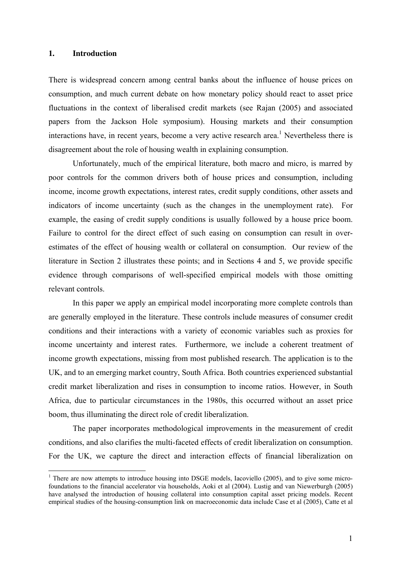#### **1. Introduction**

 $\overline{a}$ 

There is widespread concern among central banks about the influence of house prices on consumption, and much current debate on how monetary policy should react to asset price fluctuations in the context of liberalised credit markets (see Rajan (2005) and associated papers from the Jackson Hole symposium). Housing markets and their consumption interactions have, in recent years, become a very active research area.<sup>1</sup> Nevertheless there is disagreement about the role of housing wealth in explaining consumption.

Unfortunately, much of the empirical literature, both macro and micro, is marred by poor controls for the common drivers both of house prices and consumption, including income, income growth expectations, interest rates, credit supply conditions, other assets and indicators of income uncertainty (such as the changes in the unemployment rate). For example, the easing of credit supply conditions is usually followed by a house price boom. Failure to control for the direct effect of such easing on consumption can result in overestimates of the effect of housing wealth or collateral on consumption. Our review of the literature in Section 2 illustrates these points; and in Sections 4 and 5, we provide specific evidence through comparisons of well-specified empirical models with those omitting relevant controls.

In this paper we apply an empirical model incorporating more complete controls than are generally employed in the literature. These controls include measures of consumer credit conditions and their interactions with a variety of economic variables such as proxies for income uncertainty and interest rates. Furthermore, we include a coherent treatment of income growth expectations, missing from most published research. The application is to the UK, and to an emerging market country, South Africa. Both countries experienced substantial credit market liberalization and rises in consumption to income ratios. However, in South Africa, due to particular circumstances in the 1980s, this occurred without an asset price boom, thus illuminating the direct role of credit liberalization.

The paper incorporates methodological improvements in the measurement of credit conditions, and also clarifies the multi-faceted effects of credit liberalization on consumption. For the UK, we capture the direct and interaction effects of financial liberalization on

<sup>&</sup>lt;sup>1</sup> There are now attempts to introduce housing into DSGE models, Iacoviello (2005), and to give some microfoundations to the financial accelerator via households, Aoki et al (2004). Lustig and van Niewerburgh (2005) have analysed the introduction of housing collateral into consumption capital asset pricing models. Recent empirical studies of the housing-consumption link on macroeconomic data include Case et al (2005), Catte et al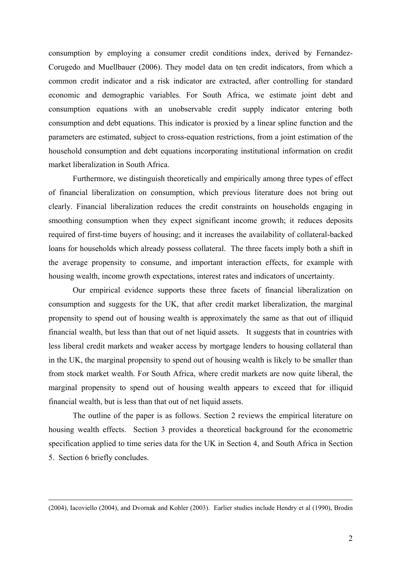consumption by employing a consumer credit conditions index, derived by Fernandez-Corugedo and Muellbauer (2006). They model data on ten credit indicators, from which a common credit indicator and a risk indicator are extracted, after controlling for standard economic and demographic variables. For South Africa, we estimate joint debt and consumption equations with an unobservable credit supply indicator entering both consumption and debt equations. This indicator is proxied by a linear spline function and the parameters are estimated, subject to cross-equation restrictions, from a joint estimation of the household consumption and debt equations incorporating institutional information on credit market liberalization in South Africa.

Furthermore, we distinguish theoretically and empirically among three types of effect of financial liberalization on consumption, which previous literature does not bring out clearly. Financial liberalization reduces the credit constraints on households engaging in smoothing consumption when they expect significant income growth; it reduces deposits required of first-time buyers of housing; and it increases the availability of collateral-backed loans for households which already possess collateral. The three facets imply both a shift in the average propensity to consume, and important interaction effects, for example with housing wealth, income growth expectations, interest rates and indicators of uncertainty.

Our empirical evidence supports these three facets of financial liberalization on consumption and suggests for the UK, that after credit market liberalization, the marginal propensity to spend out of housing wealth is approximately the same as that out of illiquid financial wealth, but less than that out of net liquid assets. It suggests that in countries with less liberal credit markets and weaker access by mortgage lenders to housing collateral than in the UK, the marginal propensity to spend out of housing wealth is likely to be smaller than from stock market wealth. For South Africa, where credit markets are now quite liberal, the marginal propensity to spend out of housing wealth appears to exceed that for illiquid financial wealth, but is less than that out of net liquid assets.

The outline of the paper is as follows. Section 2 reviews the empirical literature on housing wealth effects. Section 3 provides a theoretical background for the econometric specification applied to time series data for the UK in Section 4, and South Africa in Section 5. Section 6 briefly concludes.

<sup>(2004),</sup> Iacoviello (2004), and Dvornak and Kohler (2003). Earlier studies include Hendry et al (1990), Brodin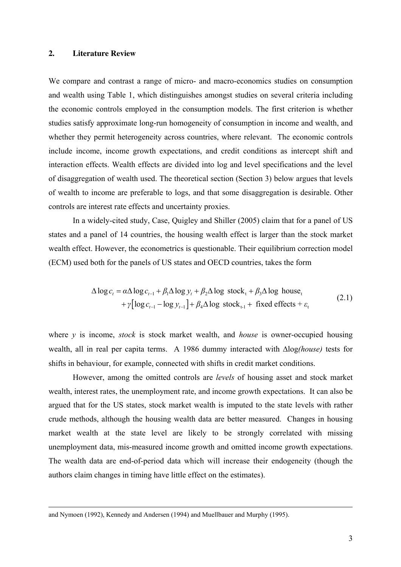#### **2. Literature Review**

We compare and contrast a range of micro- and macro-economics studies on consumption and wealth using Table 1, which distinguishes amongst studies on several criteria including the economic controls employed in the consumption models. The first criterion is whether studies satisfy approximate long-run homogeneity of consumption in income and wealth, and whether they permit heterogeneity across countries, where relevant. The economic controls include income, income growth expectations, and credit conditions as intercept shift and interaction effects. Wealth effects are divided into log and level specifications and the level of disaggregation of wealth used. The theoretical section (Section 3) below argues that levels of wealth to income are preferable to logs, and that some disaggregation is desirable. Other controls are interest rate effects and uncertainty proxies.

In a widely-cited study, Case, Quigley and Shiller (2005) claim that for a panel of US states and a panel of 14 countries, the housing wealth effect is larger than the stock market wealth effect. However, the econometrics is questionable. Their equilibrium correction model (ECM) used both for the panels of US states and OECD countries, takes the form

$$
\Delta \log c_t = \alpha \Delta \log c_{t-1} + \beta_1 \Delta \log y_t + \beta_2 \Delta \log \operatorname{stock}_t + \beta_3 \Delta \log \text{ house}_t + \gamma [\log c_{t-1} - \log y_{t-1}] + \beta_4 \Delta \log \operatorname{stock}_{t-1} + \operatorname{fixed} \operatorname{effects} + \varepsilon_t \tag{2.1}
$$

where *y* is income, *stock* is stock market wealth, and *house* is owner-occupied housing wealth, all in real per capita terms. A 1986 dummy interacted with ∆log*(house)* tests for shifts in behaviour, for example, connected with shifts in credit market conditions.

However, among the omitted controls are *levels* of housing asset and stock market wealth, interest rates, the unemployment rate, and income growth expectations. It can also be argued that for the US states, stock market wealth is imputed to the state levels with rather crude methods, although the housing wealth data are better measured. Changes in housing market wealth at the state level are likely to be strongly correlated with missing unemployment data, mis-measured income growth and omitted income growth expectations. The wealth data are end-of-period data which will increase their endogeneity (though the authors claim changes in timing have little effect on the estimates).

and Nymoen (1992), Kennedy and Andersen (1994) and Muellbauer and Murphy (1995).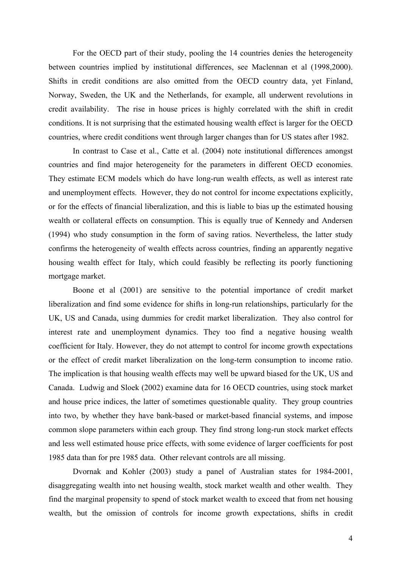For the OECD part of their study, pooling the 14 countries denies the heterogeneity between countries implied by institutional differences, see Maclennan et al (1998,2000). Shifts in credit conditions are also omitted from the OECD country data, yet Finland, Norway, Sweden, the UK and the Netherlands, for example, all underwent revolutions in credit availability. The rise in house prices is highly correlated with the shift in credit conditions. It is not surprising that the estimated housing wealth effect is larger for the OECD countries, where credit conditions went through larger changes than for US states after 1982.

In contrast to Case et al., Catte et al. (2004) note institutional differences amongst countries and find major heterogeneity for the parameters in different OECD economies. They estimate ECM models which do have long-run wealth effects, as well as interest rate and unemployment effects. However, they do not control for income expectations explicitly, or for the effects of financial liberalization, and this is liable to bias up the estimated housing wealth or collateral effects on consumption. This is equally true of Kennedy and Andersen (1994) who study consumption in the form of saving ratios. Nevertheless, the latter study confirms the heterogeneity of wealth effects across countries, finding an apparently negative housing wealth effect for Italy, which could feasibly be reflecting its poorly functioning mortgage market.

Boone et al (2001) are sensitive to the potential importance of credit market liberalization and find some evidence for shifts in long-run relationships, particularly for the UK, US and Canada, using dummies for credit market liberalization. They also control for interest rate and unemployment dynamics. They too find a negative housing wealth coefficient for Italy. However, they do not attempt to control for income growth expectations or the effect of credit market liberalization on the long-term consumption to income ratio. The implication is that housing wealth effects may well be upward biased for the UK, US and Canada. Ludwig and Sloek (2002) examine data for 16 OECD countries, using stock market and house price indices, the latter of sometimes questionable quality. They group countries into two, by whether they have bank-based or market-based financial systems, and impose common slope parameters within each group. They find strong long-run stock market effects and less well estimated house price effects, with some evidence of larger coefficients for post 1985 data than for pre 1985 data. Other relevant controls are all missing.

Dvornak and Kohler (2003) study a panel of Australian states for 1984-2001, disaggregating wealth into net housing wealth, stock market wealth and other wealth. They find the marginal propensity to spend of stock market wealth to exceed that from net housing wealth, but the omission of controls for income growth expectations, shifts in credit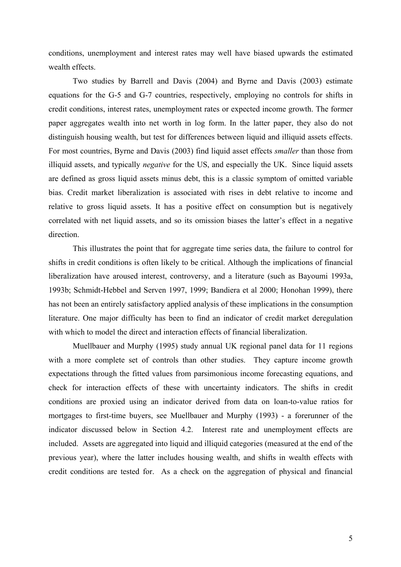conditions, unemployment and interest rates may well have biased upwards the estimated wealth effects.

 Two studies by Barrell and Davis (2004) and Byrne and Davis (2003) estimate equations for the G-5 and G-7 countries, respectively, employing no controls for shifts in credit conditions, interest rates, unemployment rates or expected income growth. The former paper aggregates wealth into net worth in log form. In the latter paper, they also do not distinguish housing wealth, but test for differences between liquid and illiquid assets effects. For most countries, Byrne and Davis (2003) find liquid asset effects *smaller* than those from illiquid assets, and typically *negative* for the US, and especially the UK. Since liquid assets are defined as gross liquid assets minus debt, this is a classic symptom of omitted variable bias. Credit market liberalization is associated with rises in debt relative to income and relative to gross liquid assets. It has a positive effect on consumption but is negatively correlated with net liquid assets, and so its omission biases the latter's effect in a negative direction.

This illustrates the point that for aggregate time series data, the failure to control for shifts in credit conditions is often likely to be critical. Although the implications of financial liberalization have aroused interest, controversy, and a literature (such as Bayoumi 1993a, 1993b; Schmidt-Hebbel and Serven 1997, 1999; Bandiera et al 2000; Honohan 1999), there has not been an entirely satisfactory applied analysis of these implications in the consumption literature. One major difficulty has been to find an indicator of credit market deregulation with which to model the direct and interaction effects of financial liberalization.

Muellbauer and Murphy (1995) study annual UK regional panel data for 11 regions with a more complete set of controls than other studies. They capture income growth expectations through the fitted values from parsimonious income forecasting equations, and check for interaction effects of these with uncertainty indicators. The shifts in credit conditions are proxied using an indicator derived from data on loan-to-value ratios for mortgages to first-time buyers, see Muellbauer and Murphy (1993) - a forerunner of the indicator discussed below in Section 4.2. Interest rate and unemployment effects are included. Assets are aggregated into liquid and illiquid categories (measured at the end of the previous year), where the latter includes housing wealth, and shifts in wealth effects with credit conditions are tested for. As a check on the aggregation of physical and financial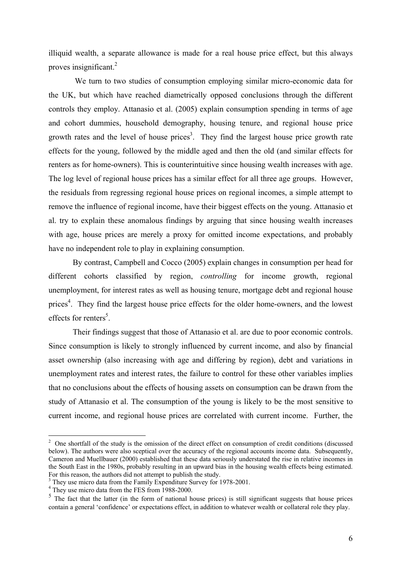illiquid wealth, a separate allowance is made for a real house price effect, but this always proves insignificant.<sup>2</sup>

We turn to two studies of consumption employing similar micro-economic data for the UK, but which have reached diametrically opposed conclusions through the different controls they employ. Attanasio et al. (2005) explain consumption spending in terms of age and cohort dummies, household demography, housing tenure, and regional house price growth rates and the level of house prices<sup>3</sup>. They find the largest house price growth rate effects for the young, followed by the middle aged and then the old (and similar effects for renters as for home-owners). This is counterintuitive since housing wealth increases with age. The log level of regional house prices has a similar effect for all three age groups. However, the residuals from regressing regional house prices on regional incomes, a simple attempt to remove the influence of regional income, have their biggest effects on the young. Attanasio et al. try to explain these anomalous findings by arguing that since housing wealth increases with age, house prices are merely a proxy for omitted income expectations, and probably have no independent role to play in explaining consumption.

By contrast, Campbell and Cocco (2005) explain changes in consumption per head for different cohorts classified by region, *controlling* for income growth, regional unemployment, for interest rates as well as housing tenure, mortgage debt and regional house prices<sup>4</sup>. They find the largest house price effects for the older home-owners, and the lowest effects for renters<sup>5</sup>.

Their findings suggest that those of Attanasio et al. are due to poor economic controls. Since consumption is likely to strongly influenced by current income, and also by financial asset ownership (also increasing with age and differing by region), debt and variations in unemployment rates and interest rates, the failure to control for these other variables implies that no conclusions about the effects of housing assets on consumption can be drawn from the study of Attanasio et al. The consumption of the young is likely to be the most sensitive to current income, and regional house prices are correlated with current income. Further, the

<sup>&</sup>lt;sup>2</sup> One shortfall of the study is the omission of the direct effect on consumption of credit conditions (discussed below). The authors were also sceptical over the accuracy of the regional accounts income data. Subsequently, Cameron and Muellbauer (2000) established that these data seriously understated the rise in relative incomes in the South East in the 1980s, probably resulting in an upward bias in the housing wealth effects being estimated. For this reason, the authors did not attempt to publish the study.

<sup>&</sup>lt;sup>3</sup> They use micro data from the Family Expenditure Survey for 1978-2001.

<sup>&</sup>lt;sup>4</sup> They use micro data from the FES from 1988-2000.

 $5$  The fact that the latter (in the form of national house prices) is still significant suggests that house prices contain a general 'confidence' or expectations effect, in addition to whatever wealth or collateral role they play.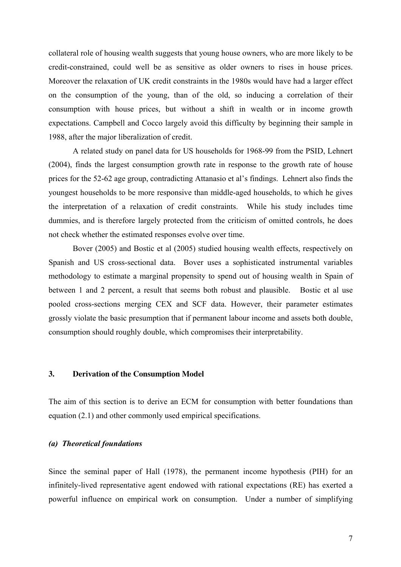collateral role of housing wealth suggests that young house owners, who are more likely to be credit-constrained, could well be as sensitive as older owners to rises in house prices. Moreover the relaxation of UK credit constraints in the 1980s would have had a larger effect on the consumption of the young, than of the old, so inducing a correlation of their consumption with house prices, but without a shift in wealth or in income growth expectations. Campbell and Cocco largely avoid this difficulty by beginning their sample in 1988, after the major liberalization of credit.

A related study on panel data for US households for 1968-99 from the PSID, Lehnert (2004), finds the largest consumption growth rate in response to the growth rate of house prices for the 52-62 age group, contradicting Attanasio et al's findings. Lehnert also finds the youngest households to be more responsive than middle-aged households, to which he gives the interpretation of a relaxation of credit constraints. While his study includes time dummies, and is therefore largely protected from the criticism of omitted controls, he does not check whether the estimated responses evolve over time.

Bover (2005) and Bostic et al (2005) studied housing wealth effects, respectively on Spanish and US cross-sectional data. Bover uses a sophisticated instrumental variables methodology to estimate a marginal propensity to spend out of housing wealth in Spain of between 1 and 2 percent, a result that seems both robust and plausible. Bostic et al use pooled cross-sections merging CEX and SCF data. However, their parameter estimates grossly violate the basic presumption that if permanent labour income and assets both double, consumption should roughly double, which compromises their interpretability.

#### **3. Derivation of the Consumption Model**

The aim of this section is to derive an ECM for consumption with better foundations than equation (2.1) and other commonly used empirical specifications.

#### *(a) Theoretical foundations*

Since the seminal paper of Hall (1978), the permanent income hypothesis (PIH) for an infinitely-lived representative agent endowed with rational expectations (RE) has exerted a powerful influence on empirical work on consumption. Under a number of simplifying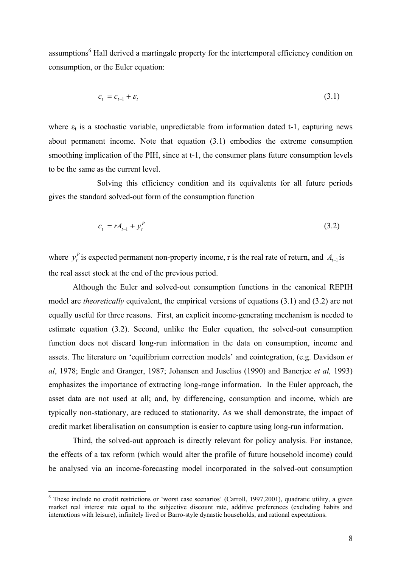assumptions<sup>6</sup> Hall derived a martingale property for the intertemporal efficiency condition on consumption, or the Euler equation:

$$
c_t = c_{t-1} + \varepsilon_t \tag{3.1}
$$

where  $\varepsilon_t$  is a stochastic variable, unpredictable from information dated t-1, capturing news about permanent income. Note that equation (3.1) embodies the extreme consumption smoothing implication of the PIH, since at t-1, the consumer plans future consumption levels to be the same as the current level.

 Solving this efficiency condition and its equivalents for all future periods gives the standard solved-out form of the consumption function

$$
c_t = rA_{t-1} + y_t^P
$$
 (3.2)

where  $y_t^P$  is expected permanent non-property income, r is the real rate of return, and  $A_{t-1}$  is the real asset stock at the end of the previous period.  $y_t^P$  is expected permanent non-property income, r is the real rate of return, and  $A_{t-1}$ 

Although the Euler and solved-out consumption functions in the canonical REPIH model are *theoretically* equivalent, the empirical versions of equations (3.1) and (3.2) are not equally useful for three reasons. First, an explicit income-generating mechanism is needed to estimate equation (3.2). Second, unlike the Euler equation, the solved-out consumption function does not discard long-run information in the data on consumption, income and assets. The literature on 'equilibrium correction models' and cointegration, (e.g. Davidson *et al*, 1978; Engle and Granger, 1987; Johansen and Juselius (1990) and Banerjee *et al,* 1993) emphasizes the importance of extracting long-range information. In the Euler approach, the asset data are not used at all; and, by differencing, consumption and income, which are typically non-stationary, are reduced to stationarity. As we shall demonstrate, the impact of credit market liberalisation on consumption is easier to capture using long-run information.

Third, the solved-out approach is directly relevant for policy analysis. For instance, the effects of a tax reform (which would alter the profile of future household income) could be analysed via an income-forecasting model incorporated in the solved-out consumption

 6 These include no credit restrictions or 'worst case scenarios' (Carroll, 1997,2001), quadratic utility, a given market real interest rate equal to the subjective discount rate, additive preferences (excluding habits and interactions with leisure), infinitely lived or Barro-style dynastic households, and rational expectations.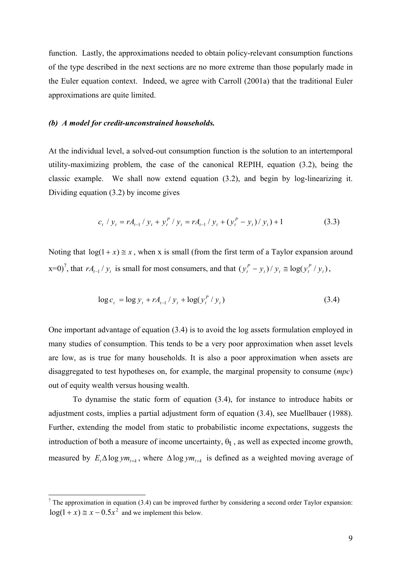function. Lastly, the approximations needed to obtain policy-relevant consumption functions of the type described in the next sections are no more extreme than those popularly made in the Euler equation context. Indeed, we agree with Carroll (2001a) that the traditional Euler approximations are quite limited.

#### *(b) A model for credit-unconstrained households.*

At the individual level, a solved-out consumption function is the solution to an intertemporal utility-maximizing problem, the case of the canonical REPIH, equation (3.2), being the classic example. We shall now extend equation (3.2), and begin by log-linearizing it. Dividing equation (3.2) by income gives

$$
c_{t} / y_{t} = rA_{t-1} / y_{t} + y_{t}^{P} / y_{t} = rA_{t-1} / y_{t} + (y_{t}^{P} - y_{t}) / y_{t}) + 1
$$
\n(3.3)

Noting that  $log(1 + x) \approx x$ , when x is small (from the first term of a Taylor expansion around  $x=0$ <sup>7</sup>, that  $rA_{t-1}/y_t$  is small for most consumers, and that  $(y_t^p - y_t)/y_t \approx \log(y_t^p / y_t)$ , *P*  $t^{f} t^{f} t = \log(t_t)$ *P*  $y_t^P - y_t$ ) /  $y_t \cong \log(y_t^P / y_t)$ 

$$
\log c_t = \log y_t + rA_{t-1}/y_t + \log(y_t^P/y_t)
$$
\n(3.4)

One important advantage of equation (3.4) is to avoid the log assets formulation employed in many studies of consumption. This tends to be a very poor approximation when asset levels are low, as is true for many households. It is also a poor approximation when assets are disaggregated to test hypotheses on, for example, the marginal propensity to consume (*mpc*) out of equity wealth versus housing wealth.

To dynamise the static form of equation (3.4), for instance to introduce habits or adjustment costs, implies a partial adjustment form of equation (3.4), see Muellbauer (1988). Further, extending the model from static to probabilistic income expectations, suggests the introduction of both a measure of income uncertainty,  $\theta_t$ , as well as expected income growth, measured by  $E_t \Delta \log y m_{t+k}$ , where  $\Delta \log y m_{t+k}$  is defined as a weighted moving average of

<sup>&</sup>lt;sup>7</sup> The approximation in equation (3.4) can be improved further by considering a second order Taylor expansion:  $log(1 + x) \approx x - 0.5x^2$  and we implement this below.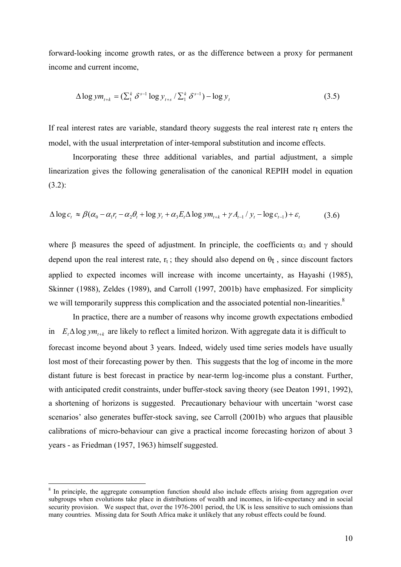forward-looking income growth rates, or as the difference between a proxy for permanent income and current income,

$$
\Delta \log y m_{t+k} = (\sum_{1}^{k} \delta^{s-1} \log y_{t+s} / \sum_{1}^{k} \delta^{s-1}) - \log y_{t}
$$
\n(3.5)

If real interest rates are variable, standard theory suggests the real interest rate  $r_t$  enters the model, with the usual interpretation of inter-temporal substitution and income effects.

Incorporating these three additional variables, and partial adjustment, a simple linearization gives the following generalisation of the canonical REPIH model in equation (3.2):

$$
\Delta \log c_t \approx \beta (\alpha_0 - \alpha_1 r_t - \alpha_2 \theta_t + \log y_t + \alpha_3 E_t \Delta \log y m_{t+k} + \gamma A_{t-1} / y_t - \log c_{t-1}) + \varepsilon_t
$$
(3.6)

where β measures the speed of adjustment. In principle, the coefficients  $\alpha_3$  and  $\gamma$  should depend upon the real interest rate,  $r_t$ ; they should also depend on  $\theta_t$ , since discount factors applied to expected incomes will increase with income uncertainty, as Hayashi (1985), Skinner (1988), Zeldes (1989), and Carroll (1997, 2001b) have emphasized. For simplicity we will temporarily suppress this complication and the associated potential non-linearities.<sup>8</sup>

In practice, there are a number of reasons why income growth expectations embodied in  $E_t \Delta \log y m_{t+k}$  are likely to reflect a limited horizon. With aggregate data it is difficult to forecast income beyond about 3 years. Indeed, widely used time series models have usually lost most of their forecasting power by then. This suggests that the log of income in the more distant future is best forecast in practice by near-term log-income plus a constant. Further, with anticipated credit constraints, under buffer-stock saving theory (see Deaton 1991, 1992), a shortening of horizons is suggested. Precautionary behaviour with uncertain 'worst case scenarios' also generates buffer-stock saving, see Carroll (2001b) who argues that plausible calibrations of micro-behaviour can give a practical income forecasting horizon of about 3 years - as Friedman (1957, 1963) himself suggested.

<sup>&</sup>lt;sup>8</sup> In principle, the aggregate consumption function should also include effects arising from aggregation over subgroups when evolutions take place in distributions of wealth and incomes, in life-expectancy and in social security provision. We suspect that, over the 1976-2001 period, the UK is less sensitive to such omissions than many countries. Missing data for South Africa make it unlikely that any robust effects could be found.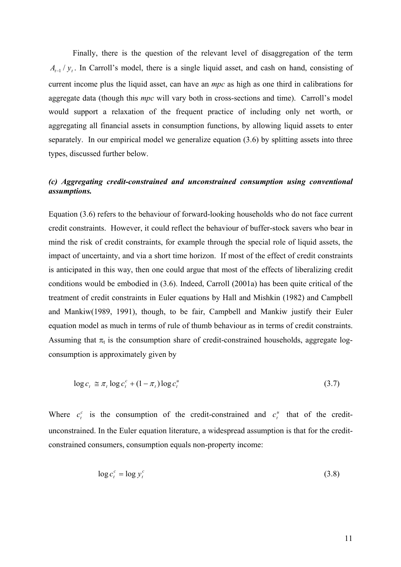Finally, there is the question of the relevant level of disaggregation of the term  $A_{t-1}/y_t$ . In Carroll's model, there is a single liquid asset, and cash on hand, consisting of current income plus the liquid asset, can have an *mpc* as high as one third in calibrations for aggregate data (though this *mpc* will vary both in cross-sections and time). Carroll's model would support a relaxation of the frequent practice of including only net worth, or aggregating all financial assets in consumption functions, by allowing liquid assets to enter separately. In our empirical model we generalize equation (3.6) by splitting assets into three types, discussed further below.

#### *(c) Aggregating credit-constrained and unconstrained consumption using conventional assumptions.*

Equation (3.6) refers to the behaviour of forward-looking households who do not face current credit constraints. However, it could reflect the behaviour of buffer-stock savers who bear in mind the risk of credit constraints, for example through the special role of liquid assets, the impact of uncertainty, and via a short time horizon. If most of the effect of credit constraints is anticipated in this way, then one could argue that most of the effects of liberalizing credit conditions would be embodied in (3.6). Indeed, Carroll (2001a) has been quite critical of the treatment of credit constraints in Euler equations by Hall and Mishkin (1982) and Campbell and Mankiw(1989, 1991), though, to be fair, Campbell and Mankiw justify their Euler equation model as much in terms of rule of thumb behaviour as in terms of credit constraints. Assuming that  $\pi_t$  is the consumption share of credit-constrained households, aggregate logconsumption is approximately given by

$$
\log c_t \cong \pi_t \log c_t^c + (1 - \pi_t) \log c_t^u \tag{3.7}
$$

Where  $c_t^c$  is the consumption of the credit-constrained and  $c_t^u$  that of the creditunconstrained. In the Euler equation literature, a widespread assumption is that for the creditconstrained consumers, consumption equals non-property income:  $c_t^c$  is the consumption of the credit-constrained and  $c_t^u$  $c_i^i$ 

$$
\log c_t^c = \log y_t^c \tag{3.8}
$$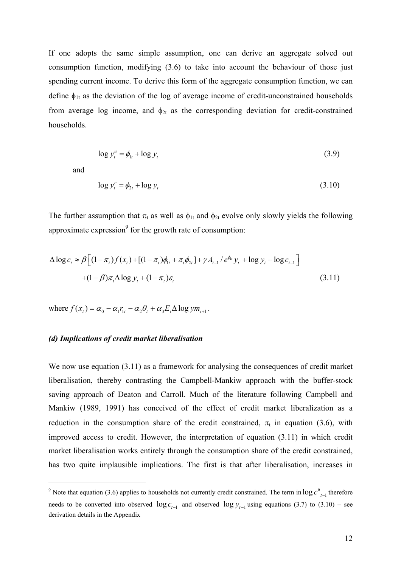If one adopts the same simple assumption, one can derive an aggregate solved out consumption function, modifying (3.6) to take into account the behaviour of those just spending current income. To derive this form of the aggregate consumption function, we can define  $\phi_{1t}$  as the deviation of the log of average income of credit-unconstrained households from average log income, and  $\phi_{2t}$  as the corresponding deviation for credit-constrained households.

$$
\log y_t^u = \phi_{1t} + \log y_t \tag{3.9}
$$

and

 $\overline{a}$ 

$$
\log y_t^c = \phi_{2t} + \log y_t \tag{3.10}
$$

The further assumption that  $\pi_t$  as well as  $\phi_{1t}$  and  $\phi_{2t}$  evolve only slowly yields the following approximate expression<sup>9</sup> for the growth rate of consumption:

$$
\Delta \log c_{t} \approx \beta \Big[ (1 - \pi_{t}) f(x_{t}) + [(1 - \pi_{t}) \phi_{1t} + \pi_{t} \phi_{2t}] + \gamma A_{t-1} / e^{\phi_{1t}} y_{t} + \log y_{t} - \log c_{t-1} \Big] + (1 - \beta) \pi_{t} \Delta \log y_{t} + (1 - \pi_{t}) \varepsilon_{t}
$$
\n(3.11)

where  $f(x_t) = \alpha_0 - \alpha_1 r_{1t} - \alpha_2 \theta_t + \alpha_3 E_t \Delta \log y m_{t+1}$ .

#### *(d) Implications of credit market liberalisation*

We now use equation (3.11) as a framework for analysing the consequences of credit market liberalisation, thereby contrasting the Campbell-Mankiw approach with the buffer-stock saving approach of Deaton and Carroll. Much of the literature following Campbell and Mankiw (1989, 1991) has conceived of the effect of credit market liberalization as a reduction in the consumption share of the credit constrained,  $\pi_t$  in equation (3.6), with improved access to credit. However, the interpretation of equation (3.11) in which credit market liberalisation works entirely through the consumption share of the credit constrained, has two quite implausible implications. The first is that after liberalisation, increases in

<sup>&</sup>lt;sup>9</sup> Note that equation (3.6) applies to households not currently credit constrained. The term in  $\log c_{t-1}^u$  therefore needs to be converted into observed  $\log c_{t-1}$  and observed  $\log y_{t-1}$  using equations (3.7) to (3.10) – see derivation details in the Appendix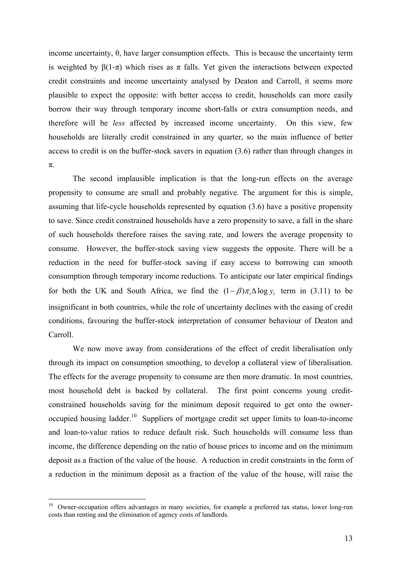income uncertainty, θ, have larger consumption effects. This is because the uncertainty term is weighted by β(1-π) which rises as π falls. Yet given the interactions between expected credit constraints and income uncertainty analysed by Deaton and Carroll, it seems more plausible to expect the opposite: with better access to credit, households can more easily borrow their way through temporary income short-falls or extra consumption needs, and therefore will be *less* affected by increased income uncertainty. On this view, few households are literally credit constrained in any quarter, so the main influence of better access to credit is on the buffer-stock savers in equation (3.6) rather than through changes in π.

 The second implausible implication is that the long-run effects on the average propensity to consume are small and probably negative. The argument for this is simple, assuming that life-cycle households represented by equation (3.6) have a positive propensity to save. Since credit constrained households have a zero propensity to save, a fall in the share of such households therefore raises the saving rate, and lowers the average propensity to consume. However, the buffer-stock saving view suggests the opposite. There will be a reduction in the need for buffer-stock saving if easy access to borrowing can smooth consumption through temporary income reductions. To anticipate our later empirical findings for both the UK and South Africa, we find the  $(1 - \beta) \pi_i \Delta \log y_i$  term in (3.11) to be insignificant in both countries, while the role of uncertainty declines with the easing of credit conditions, favouring the buffer-stock interpretation of consumer behaviour of Deaton and Carroll.

We now move away from considerations of the effect of credit liberalisation only through its impact on consumption smoothing, to develop a collateral view of liberalisation. The effects for the average propensity to consume are then more dramatic. In most countries, most household debt is backed by collateral. The first point concerns young creditconstrained households saving for the minimum deposit required to get onto the owneroccupied housing ladder.<sup>10</sup> Suppliers of mortgage credit set upper limits to loan-to-income and loan-to-value ratios to reduce default risk. Such households will consume less than income, the difference depending on the ratio of house prices to income and on the minimum deposit as a fraction of the value of the house. A reduction in credit constraints in the form of a reduction in the minimum deposit as a fraction of the value of the house, will raise the

<sup>&</sup>lt;sup>10</sup> Owner-occupation offers advantages in many societies, for example a preferred tax status, lower long-run costs than renting and the elimination of agency costs of landlords.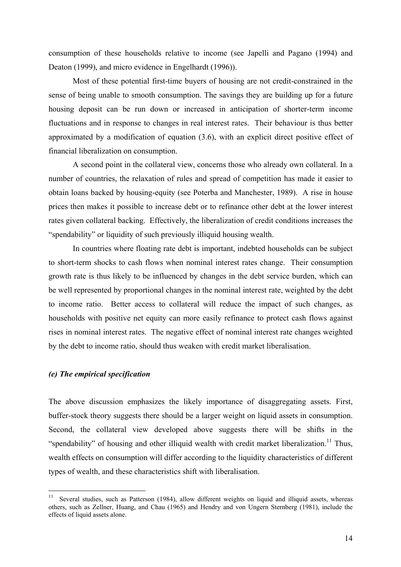consumption of these households relative to income (see Japelli and Pagano (1994) and Deaton (1999), and micro evidence in Engelhardt (1996)).

Most of these potential first-time buyers of housing are not credit-constrained in the sense of being unable to smooth consumption. The savings they are building up for a future housing deposit can be run down or increased in anticipation of shorter-term income fluctuations and in response to changes in real interest rates. Their behaviour is thus better approximated by a modification of equation (3.6), with an explicit direct positive effect of financial liberalization on consumption.

A second point in the collateral view, concerns those who already own collateral. In a number of countries, the relaxation of rules and spread of competition has made it easier to obtain loans backed by housing-equity (see Poterba and Manchester, 1989). A rise in house prices then makes it possible to increase debt or to refinance other debt at the lower interest rates given collateral backing. Effectively, the liberalization of credit conditions increases the "spendability" or liquidity of such previously illiquid housing wealth.

In countries where floating rate debt is important, indebted households can be subject to short-term shocks to cash flows when nominal interest rates change. Their consumption growth rate is thus likely to be influenced by changes in the debt service burden, which can be well represented by proportional changes in the nominal interest rate, weighted by the debt to income ratio. Better access to collateral will reduce the impact of such changes, as households with positive net equity can more easily refinance to protect cash flows against rises in nominal interest rates. The negative effect of nominal interest rate changes weighted by the debt to income ratio, should thus weaken with credit market liberalisation.

#### *(e) The empirical specification*

The above discussion emphasizes the likely importance of disaggregating assets. First, buffer-stock theory suggests there should be a larger weight on liquid assets in consumption. Second, the collateral view developed above suggests there will be shifts in the "spendability" of housing and other illiquid wealth with credit market liberalization.<sup>11</sup> Thus, wealth effects on consumption will differ according to the liquidity characteristics of different types of wealth, and these characteristics shift with liberalisation.

 $\frac{1}{11}$  Several studies, such as Patterson (1984), allow different weights on liquid and illiquid assets, whereas others, such as Zellner, Huang, and Chau (1965) and Hendry and von Ungern Sternberg (1981), include the effects of liquid assets alone.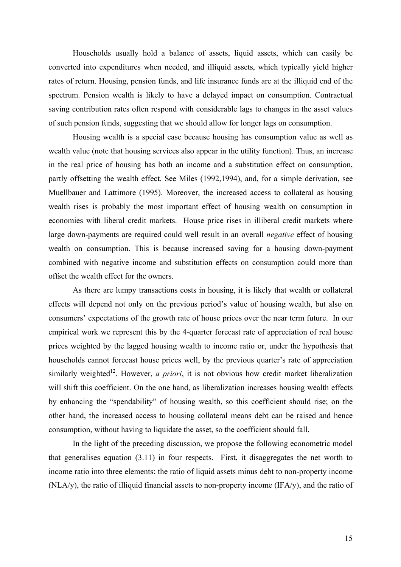Households usually hold a balance of assets, liquid assets, which can easily be converted into expenditures when needed, and illiquid assets, which typically yield higher rates of return. Housing, pension funds, and life insurance funds are at the illiquid end of the spectrum. Pension wealth is likely to have a delayed impact on consumption. Contractual saving contribution rates often respond with considerable lags to changes in the asset values of such pension funds, suggesting that we should allow for longer lags on consumption.

 Housing wealth is a special case because housing has consumption value as well as wealth value (note that housing services also appear in the utility function). Thus, an increase in the real price of housing has both an income and a substitution effect on consumption, partly offsetting the wealth effect. See Miles (1992,1994), and, for a simple derivation, see Muellbauer and Lattimore (1995). Moreover, the increased access to collateral as housing wealth rises is probably the most important effect of housing wealth on consumption in economies with liberal credit markets. House price rises in illiberal credit markets where large down-payments are required could well result in an overall *negative* effect of housing wealth on consumption. This is because increased saving for a housing down-payment combined with negative income and substitution effects on consumption could more than offset the wealth effect for the owners.

As there are lumpy transactions costs in housing, it is likely that wealth or collateral effects will depend not only on the previous period's value of housing wealth, but also on consumers' expectations of the growth rate of house prices over the near term future. In our empirical work we represent this by the 4-quarter forecast rate of appreciation of real house prices weighted by the lagged housing wealth to income ratio or, under the hypothesis that households cannot forecast house prices well, by the previous quarter's rate of appreciation similarly weighted<sup>12</sup>. However, *a priori*, it is not obvious how credit market liberalization will shift this coefficient. On the one hand, as liberalization increases housing wealth effects by enhancing the "spendability" of housing wealth, so this coefficient should rise; on the other hand, the increased access to housing collateral means debt can be raised and hence consumption, without having to liquidate the asset, so the coefficient should fall.

In the light of the preceding discussion, we propose the following econometric model that generalises equation (3.11) in four respects. First, it disaggregates the net worth to income ratio into three elements: the ratio of liquid assets minus debt to non-property income (NLA/y), the ratio of illiquid financial assets to non-property income (IFA/y), and the ratio of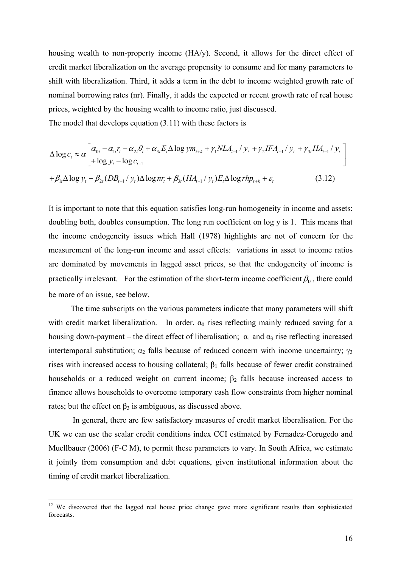housing wealth to non-property income (HA/y). Second, it allows for the direct effect of credit market liberalization on the average propensity to consume and for many parameters to shift with liberalization. Third, it adds a term in the debt to income weighted growth rate of nominal borrowing rates (nr). Finally, it adds the expected or recent growth rate of real house prices, weighted by the housing wealth to income ratio, just discussed.

The model that develops equation (3.11) with these factors is

$$
\Delta \log c_{t} \approx \alpha \left[ \alpha_{0t} - \alpha_{1t} r_{t} - \alpha_{2t} \theta_{t} + \alpha_{3t} E_{t} \Delta \log y m_{t+k} + \gamma_{1} N L A_{t-1} / y_{t} + \gamma_{2} I F A_{t-1} / y_{t} + \gamma_{3t} H A_{t-1} / y_{t} \right]
$$
  
+  $\beta_{1t} \Delta \log y_{t} - \beta_{2t} (DB_{t-1} / y_{t}) \Delta \log n r_{t} + \beta_{3t} (H A_{t-1} / y_{t}) E_{t} \Delta \log r h p_{t+k} + \varepsilon_{t}$  (3.12)

It is important to note that this equation satisfies long-run homogeneity in income and assets: doubling both, doubles consumption. The long run coefficient on log y is 1. This means that the income endogeneity issues which Hall (1978) highlights are not of concern for the measurement of the long-run income and asset effects: variations in asset to income ratios are dominated by movements in lagged asset prices, so that the endogeneity of income is practically irrelevant. For the estimation of the short-term income coefficient  $\beta_{1t}$ , there could be more of an issue, see below.

 The time subscripts on the various parameters indicate that many parameters will shift with credit market liberalization. In order,  $\alpha_0$  rises reflecting mainly reduced saving for a housing down-payment – the direct effect of liberalisation;  $\alpha_1$  and  $\alpha_3$  rise reflecting increased intertemporal substitution;  $\alpha_2$  falls because of reduced concern with income uncertainty;  $\gamma_3$ rises with increased access to housing collateral;  $\beta_1$  falls because of fewer credit constrained households or a reduced weight on current income;  $\beta_2$  falls because increased access to finance allows households to overcome temporary cash flow constraints from higher nominal rates; but the effect on  $\beta_3$  is ambiguous, as discussed above.

 In general, there are few satisfactory measures of credit market liberalisation. For the UK we can use the scalar credit conditions index CCI estimated by Fernadez-Corugedo and Muellbauer (2006) (F-C M), to permit these parameters to vary. In South Africa, we estimate it jointly from consumption and debt equations, given institutional information about the timing of credit market liberalization.

 $12$  We discovered that the lagged real house price change gave more significant results than sophisticated forecasts.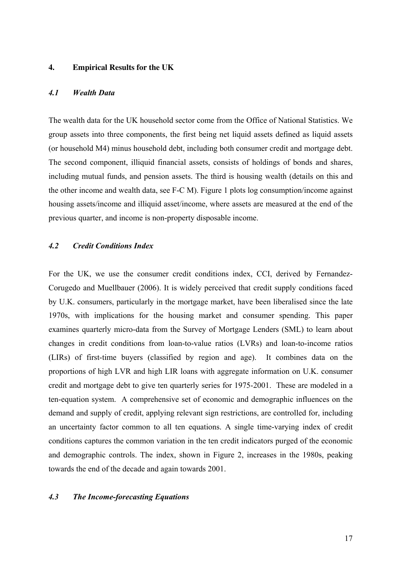#### **4. Empirical Results for the UK**

#### *4.1 Wealth Data*

The wealth data for the UK household sector come from the Office of National Statistics. We group assets into three components, the first being net liquid assets defined as liquid assets (or household M4) minus household debt, including both consumer credit and mortgage debt. The second component, illiquid financial assets, consists of holdings of bonds and shares, including mutual funds, and pension assets. The third is housing wealth (details on this and the other income and wealth data, see F-C M). Figure 1 plots log consumption/income against housing assets/income and illiquid asset/income, where assets are measured at the end of the previous quarter, and income is non-property disposable income.

#### *4.2 Credit Conditions Index*

For the UK, we use the consumer credit conditions index, CCI, derived by Fernandez-Corugedo and Muellbauer (2006). It is widely perceived that credit supply conditions faced by U.K. consumers, particularly in the mortgage market, have been liberalised since the late 1970s, with implications for the housing market and consumer spending. This paper examines quarterly micro-data from the Survey of Mortgage Lenders (SML) to learn about changes in credit conditions from loan-to-value ratios (LVRs) and loan-to-income ratios (LIRs) of first-time buyers (classified by region and age). It combines data on the proportions of high LVR and high LIR loans with aggregate information on U.K. consumer credit and mortgage debt to give ten quarterly series for 1975-2001. These are modeled in a ten-equation system. A comprehensive set of economic and demographic influences on the demand and supply of credit, applying relevant sign restrictions, are controlled for, including an uncertainty factor common to all ten equations. A single time-varying index of credit conditions captures the common variation in the ten credit indicators purged of the economic and demographic controls. The index, shown in Figure 2, increases in the 1980s, peaking towards the end of the decade and again towards 2001.

#### *4.3 The Income-forecasting Equations*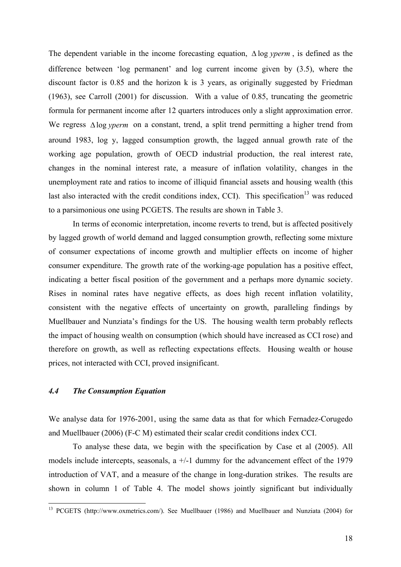The dependent variable in the income forecasting equation, ∆ log *yperm* , is defined as the difference between 'log permanent' and log current income given by (3.5), where the discount factor is 0.85 and the horizon k is 3 years, as originally suggested by Friedman (1963), see Carroll (2001) for discussion. With a value of 0.85, truncating the geometric formula for permanent income after 12 quarters introduces only a slight approximation error. We regress ∆log *yperm* on a constant, trend, a split trend permitting a higher trend from around 1983, log y, lagged consumption growth, the lagged annual growth rate of the working age population, growth of OECD industrial production, the real interest rate, changes in the nominal interest rate, a measure of inflation volatility, changes in the unemployment rate and ratios to income of illiquid financial assets and housing wealth (this last also interacted with the credit conditions index, CCI). This specification<sup>13</sup> was reduced to a parsimonious one using PCGETS. The results are shown in Table 3.

 In terms of economic interpretation, income reverts to trend, but is affected positively by lagged growth of world demand and lagged consumption growth, reflecting some mixture of consumer expectations of income growth and multiplier effects on income of higher consumer expenditure. The growth rate of the working-age population has a positive effect, indicating a better fiscal position of the government and a perhaps more dynamic society. Rises in nominal rates have negative effects, as does high recent inflation volatility, consistent with the negative effects of uncertainty on growth, paralleling findings by Muellbauer and Nunziata's findings for the US. The housing wealth term probably reflects the impact of housing wealth on consumption (which should have increased as CCI rose) and therefore on growth, as well as reflecting expectations effects. Housing wealth or house prices, not interacted with CCI, proved insignificant.

#### *4.4 The Consumption Equation*

 $\overline{a}$ 

We analyse data for 1976-2001, using the same data as that for which Fernadez-Corugedo and Muellbauer (2006) (F-C M) estimated their scalar credit conditions index CCI.

 To analyse these data, we begin with the specification by Case et al (2005). All models include intercepts, seasonals,  $a +/1$  dummy for the advancement effect of the 1979 introduction of VAT, and a measure of the change in long-duration strikes. The results are shown in column 1 of Table 4. The model shows jointly significant but individually

<sup>&</sup>lt;sup>13</sup> PCGETS (http://www.oxmetrics.com/). See Muellbauer (1986) and Muellbauer and Nunziata (2004) for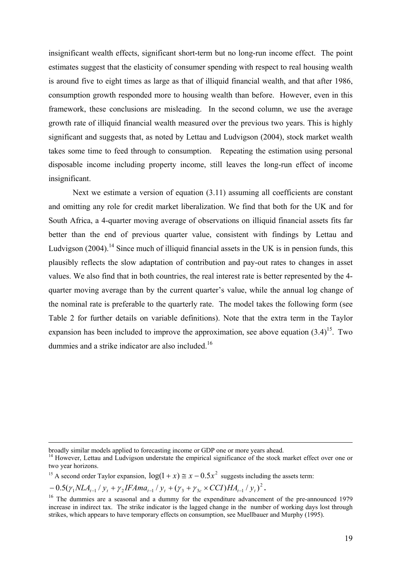insignificant wealth effects, significant short-term but no long-run income effect. The point estimates suggest that the elasticity of consumer spending with respect to real housing wealth is around five to eight times as large as that of illiquid financial wealth, and that after 1986, consumption growth responded more to housing wealth than before. However, even in this framework, these conclusions are misleading. In the second column, we use the average growth rate of illiquid financial wealth measured over the previous two years. This is highly significant and suggests that, as noted by Lettau and Ludvigson (2004), stock market wealth takes some time to feed through to consumption. Repeating the estimation using personal disposable income including property income, still leaves the long-run effect of income insignificant.

Next we estimate a version of equation (3.11) assuming all coefficients are constant and omitting any role for credit market liberalization. We find that both for the UK and for South Africa, a 4-quarter moving average of observations on illiquid financial assets fits far better than the end of previous quarter value, consistent with findings by Lettau and Ludvigson  $(2004)$ .<sup>14</sup> Since much of illiquid financial assets in the UK is in pension funds, this plausibly reflects the slow adaptation of contribution and pay-out rates to changes in asset values. We also find that in both countries, the real interest rate is better represented by the 4 quarter moving average than by the current quarter's value, while the annual log change of the nominal rate is preferable to the quarterly rate. The model takes the following form (see Table 2 for further details on variable definitions). Note that the extra term in the Taylor expansion has been included to improve the approximation, see above equation  $(3.4)^{15}$ . Two dummies and a strike indicator are also included.<sup>16</sup>

broadly similar models applied to forecasting income or GDP one or more years ahead.

<sup>&</sup>lt;sup>14</sup> However, Lettau and Ludvigson understate the empirical significance of the stock market effect over one or two year horizons.

<sup>&</sup>lt;sup>15</sup> A second order Taylor expansion,  $\log(1 + x) \approx x - 0.5x^2$  suggests including the assets term:

**<sup>.</sup>** 2  $-0.5(\gamma_1 NLA_{t-1}/y_t + \gamma_2 IFAma_{t-1}/y_t + (\gamma_3 + \gamma_{3c} \times CCI)HA_{t-1}/y_t)$ 

<sup>&</sup>lt;sup>16</sup> The dummies are a seasonal and a dummy for the expenditure advancement of the pre-announced 1979 increase in indirect tax. The strike indicator is the lagged change in the number of working days lost through strikes, which appears to have temporary effects on consumption, see Muellbauer and Murphy (1995).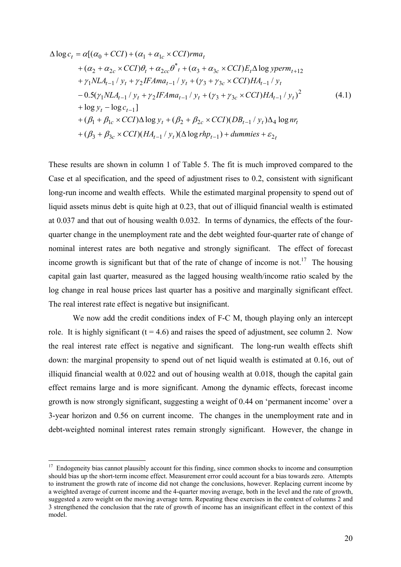$$
\Delta \log c_{t} = \alpha [(\alpha_{0} + CCI) + (\alpha_{1} + \alpha_{1c} \times CCI)rma_{t} \n+ (\alpha_{2} + \alpha_{2c} \times CCI)\theta_{t} + \alpha_{2cc}\theta_{t}^{*} + (\alpha_{3} + \alpha_{3c} \times CCI)E_{t}\Delta \log yperm_{t+12} \n+ \gamma_{1} NLA_{t-1}/y_{t} + \gamma_{2} IFAma_{t-1}/y_{t} + (\gamma_{3} + \gamma_{3c} \times CCI)HA_{t-1}/y_{t} \n- 0.5(\gamma_{1} NLA_{t-1}/y_{t} + \gamma_{2} IFAma_{t-1}/y_{t} + (\gamma_{3} + \gamma_{3c} \times CCI)HA_{t-1}/y_{t})^{2} \n+ \log y_{t} - \log c_{t-1}] \n+ (\beta_{1} + \beta_{1c} \times CCI)\Delta \log y_{t} + (\beta_{2} + \beta_{2c} \times CCI)(DB_{t-1}/y_{t})\Delta_{4} \log nr_{t} \n+ (\beta_{3} + \beta_{3c} \times CCI)(HA_{t-1}/y_{t})(\Delta \log rhp_{t-1}) + \text{dummies} + \varepsilon_{2t}
$$
\n(4.1)

These results are shown in column 1 of Table 5. The fit is much improved compared to the Case et al specification, and the speed of adjustment rises to 0.2, consistent with significant long-run income and wealth effects. While the estimated marginal propensity to spend out of liquid assets minus debt is quite high at 0.23, that out of illiquid financial wealth is estimated at 0.037 and that out of housing wealth 0.032. In terms of dynamics, the effects of the fourquarter change in the unemployment rate and the debt weighted four-quarter rate of change of nominal interest rates are both negative and strongly significant. The effect of forecast income growth is significant but that of the rate of change of income is not.<sup>17</sup> The housing capital gain last quarter, measured as the lagged housing wealth/income ratio scaled by the log change in real house prices last quarter has a positive and marginally significant effect. The real interest rate effect is negative but insignificant.

We now add the credit conditions index of F-C M, though playing only an intercept role. It is highly significant ( $t = 4.6$ ) and raises the speed of adjustment, see column 2. Now the real interest rate effect is negative and significant. The long-run wealth effects shift down: the marginal propensity to spend out of net liquid wealth is estimated at 0.16, out of illiquid financial wealth at 0.022 and out of housing wealth at 0.018, though the capital gain effect remains large and is more significant. Among the dynamic effects, forecast income growth is now strongly significant, suggesting a weight of 0.44 on 'permanent income' over a 3-year horizon and 0.56 on current income. The changes in the unemployment rate and in debt-weighted nominal interest rates remain strongly significant. However, the change in

<sup>&</sup>lt;sup>17</sup> Endogeneity bias cannot plausibly account for this finding, since common shocks to income and consumption should bias up the short-term income effect. Measurement error could account for a bias towards zero. Attempts to instrument the growth rate of income did not change the conclusions, however. Replacing current income by a weighted average of current income and the 4-quarter moving average, both in the level and the rate of growth, suggested a zero weight on the moving average term. Repeating these exercises in the context of columns 2 and 3 strengthened the conclusion that the rate of growth of income has an insignificant effect in the context of this model.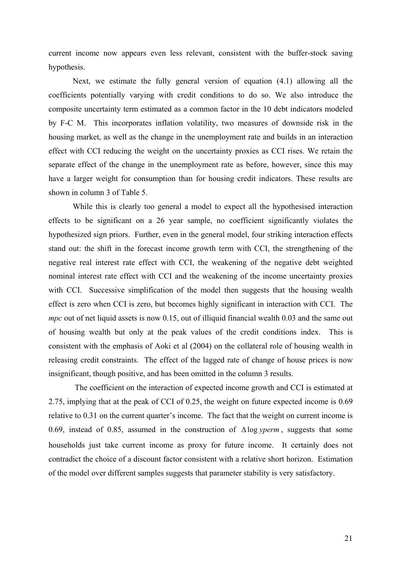current income now appears even less relevant, consistent with the buffer-stock saving hypothesis.

 Next, we estimate the fully general version of equation (4.1) allowing all the coefficients potentially varying with credit conditions to do so. We also introduce the composite uncertainty term estimated as a common factor in the 10 debt indicators modeled by F-C M. This incorporates inflation volatility, two measures of downside risk in the housing market, as well as the change in the unemployment rate and builds in an interaction effect with CCI reducing the weight on the uncertainty proxies as CCI rises. We retain the separate effect of the change in the unemployment rate as before, however, since this may have a larger weight for consumption than for housing credit indicators. These results are shown in column 3 of Table 5.

 While this is clearly too general a model to expect all the hypothesised interaction effects to be significant on a 26 year sample, no coefficient significantly violates the hypothesized sign priors. Further, even in the general model, four striking interaction effects stand out: the shift in the forecast income growth term with CCI, the strengthening of the negative real interest rate effect with CCI, the weakening of the negative debt weighted nominal interest rate effect with CCI and the weakening of the income uncertainty proxies with CCI. Successive simplification of the model then suggests that the housing wealth effect is zero when CCI is zero, but becomes highly significant in interaction with CCI. The *mpc* out of net liquid assets is now 0.15, out of illiquid financial wealth 0.03 and the same out of housing wealth but only at the peak values of the credit conditions index. This is consistent with the emphasis of Aoki et al (2004) on the collateral role of housing wealth in releasing credit constraints. The effect of the lagged rate of change of house prices is now insignificant, though positive, and has been omitted in the column 3 results.

 The coefficient on the interaction of expected income growth and CCI is estimated at 2.75, implying that at the peak of CCI of 0.25, the weight on future expected income is 0.69 relative to 0.31 on the current quarter's income. The fact that the weight on current income is 0.69, instead of 0.85, assumed in the construction of ∆log *yperm* , suggests that some households just take current income as proxy for future income. It certainly does not contradict the choice of a discount factor consistent with a relative short horizon. Estimation of the model over different samples suggests that parameter stability is very satisfactory.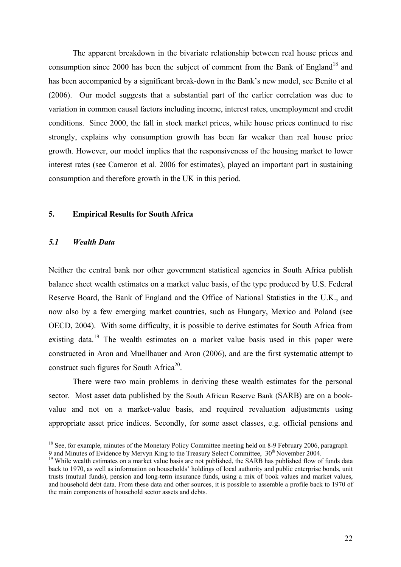The apparent breakdown in the bivariate relationship between real house prices and consumption since 2000 has been the subject of comment from the Bank of England<sup>18</sup> and has been accompanied by a significant break-down in the Bank's new model, see Benito et al (2006). Our model suggests that a substantial part of the earlier correlation was due to variation in common causal factors including income, interest rates, unemployment and credit conditions. Since 2000, the fall in stock market prices, while house prices continued to rise strongly, explains why consumption growth has been far weaker than real house price growth. However, our model implies that the responsiveness of the housing market to lower interest rates (see Cameron et al. 2006 for estimates), played an important part in sustaining consumption and therefore growth in the UK in this period.

#### **5. Empirical Results for South Africa**

#### *5.1 Wealth Data*

 $\overline{a}$ 

Neither the central bank nor other government statistical agencies in South Africa publish balance sheet wealth estimates on a market value basis, of the type produced by U.S. Federal Reserve Board, the Bank of England and the Office of National Statistics in the U.K., and now also by a few emerging market countries, such as Hungary, Mexico and Poland (see OECD, 2004). With some difficulty, it is possible to derive estimates for South Africa from existing data.<sup>19</sup> The wealth estimates on a market value basis used in this paper were constructed in Aron and Muellbauer and Aron (2006), and are the first systematic attempt to construct such figures for South Africa<sup>20</sup>.

 There were two main problems in deriving these wealth estimates for the personal sector. Most asset data published by the South African Reserve Bank (SARB) are on a bookvalue and not on a market-value basis, and required revaluation adjustments using appropriate asset price indices. Secondly, for some asset classes, e.g. official pensions and

<sup>&</sup>lt;sup>18</sup> See, for example, minutes of the Monetary Policy Committee meeting held on 8-9 February 2006, paragraph 9 and Minutes of Evidence by Mervyn King to the Treasury Select Committee,  $30<sup>th</sup>$  November 2004.

<sup>&</sup>lt;sup>19</sup> While wealth estimates on a market value basis are not published, the SARB has published flow of funds data back to 1970, as well as information on households' holdings of local authority and public enterprise bonds, unit trusts (mutual funds), pension and long-term insurance funds, using a mix of book values and market values, and household debt data. From these data and other sources, it is possible to assemble a profile back to 1970 of the main components of household sector assets and debts.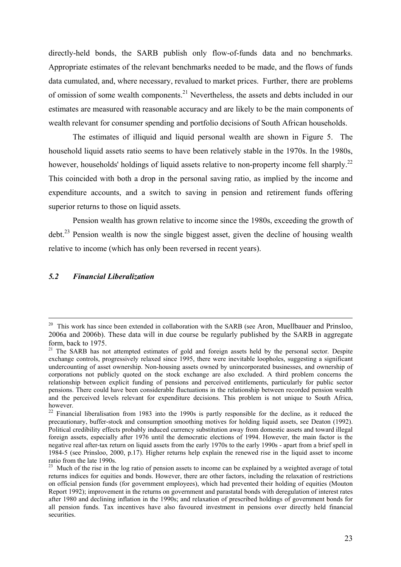directly-held bonds, the SARB publish only flow-of-funds data and no benchmarks. Appropriate estimates of the relevant benchmarks needed to be made, and the flows of funds data cumulated, and, where necessary, revalued to market prices. Further, there are problems of omission of some wealth components.<sup>21</sup> Nevertheless, the assets and debts included in our estimates are measured with reasonable accuracy and are likely to be the main components of wealth relevant for consumer spending and portfolio decisions of South African households.

The estimates of illiquid and liquid personal wealth are shown in Figure 5. The household liquid assets ratio seems to have been relatively stable in the 1970s. In the 1980s, however, households' holdings of liquid assets relative to non-property income fell sharply.<sup>22</sup> This coincided with both a drop in the personal saving ratio, as implied by the income and expenditure accounts, and a switch to saving in pension and retirement funds offering superior returns to those on liquid assets.

Pension wealth has grown relative to income since the 1980s, exceeding the growth of  $\text{debt.}^{23}$  Pension wealth is now the single biggest asset, given the decline of housing wealth relative to income (which has only been reversed in recent years).

#### *5.2 Financial Liberalization*

<sup>&</sup>lt;sup>20</sup> This work has since been extended in collaboration with the SARB (see Aron, Muellbauer and Prinsloo, 2006a and 2006b). These data will in due course be regularly published by the SARB in aggregate form, back to 1975.

<sup>&</sup>lt;sup>21</sup> The SARB has not attempted estimates of gold and foreign assets held by the personal sector. Despite exchange controls, progressively relaxed since 1995, there were inevitable loopholes, suggesting a significant undercounting of asset ownership. Non-housing assets owned by unincorporated businesses, and ownership of corporations not publicly quoted on the stock exchange are also excluded. A third problem concerns the relationship between explicit funding of pensions and perceived entitlements, particularly for public sector pensions. There could have been considerable fluctuations in the relationship between recorded pension wealth and the perceived levels relevant for expenditure decisions. This problem is not unique to South Africa, however.

<sup>&</sup>lt;sup>22</sup> Financial liberalisation from 1983 into the 1990s is partly responsible for the decline, as it reduced the precautionary, buffer-stock and consumption smoothing motives for holding liquid assets, see Deaton (1992). Political credibility effects probably induced currency substitution away from domestic assets and toward illegal foreign assets, especially after 1976 until the democratic elections of 1994. However, the main factor is the negative real after-tax return on liquid assets from the early 1970s to the early 1990s - apart from a brief spell in 1984-5 (see Prinsloo, 2000, p.17). Higher returns help explain the renewed rise in the liquid asset to income ratio from the late 1990s.

<sup>&</sup>lt;sup>23</sup> Much of the rise in the log ratio of pension assets to income can be explained by a weighted average of total returns indices for equities and bonds. However, there are other factors, including the relaxation of restrictions on official pension funds (for government employees), which had prevented their holding of equities (Mouton Report 1992); improvement in the returns on government and parastatal bonds with deregulation of interest rates after 1980 and declining inflation in the 1990s; and relaxation of prescribed holdings of government bonds for all pension funds. Tax incentives have also favoured investment in pensions over directly held financial securities.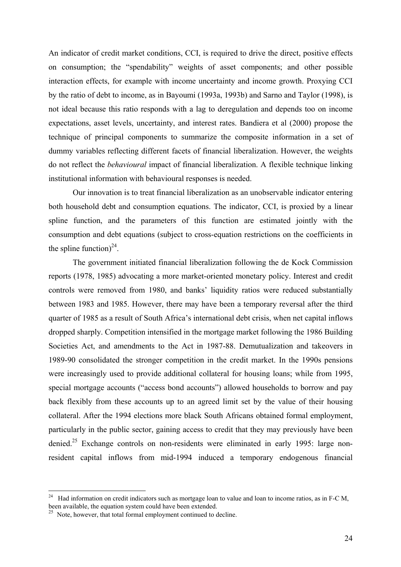An indicator of credit market conditions, CCI, is required to drive the direct, positive effects on consumption; the "spendability" weights of asset components; and other possible interaction effects, for example with income uncertainty and income growth. Proxying CCI by the ratio of debt to income, as in Bayoumi (1993a, 1993b) and Sarno and Taylor (1998), is not ideal because this ratio responds with a lag to deregulation and depends too on income expectations, asset levels, uncertainty, and interest rates. Bandiera et al (2000) propose the technique of principal components to summarize the composite information in a set of dummy variables reflecting different facets of financial liberalization. However, the weights do not reflect the *behavioural* impact of financial liberalization. A flexible technique linking institutional information with behavioural responses is needed.

Our innovation is to treat financial liberalization as an unobservable indicator entering both household debt and consumption equations. The indicator, CCI, is proxied by a linear spline function, and the parameters of this function are estimated jointly with the consumption and debt equations (subject to cross-equation restrictions on the coefficients in the spline function)<sup>24</sup>.

The government initiated financial liberalization following the de Kock Commission reports (1978, 1985) advocating a more market-oriented monetary policy. Interest and credit controls were removed from 1980, and banks' liquidity ratios were reduced substantially between 1983 and 1985. However, there may have been a temporary reversal after the third quarter of 1985 as a result of South Africa's international debt crisis, when net capital inflows dropped sharply. Competition intensified in the mortgage market following the 1986 Building Societies Act, and amendments to the Act in 1987-88. Demutualization and takeovers in 1989-90 consolidated the stronger competition in the credit market. In the 1990s pensions were increasingly used to provide additional collateral for housing loans; while from 1995, special mortgage accounts ("access bond accounts") allowed households to borrow and pay back flexibly from these accounts up to an agreed limit set by the value of their housing collateral. After the 1994 elections more black South Africans obtained formal employment, particularly in the public sector, gaining access to credit that they may previously have been denied.<sup>25</sup> Exchange controls on non-residents were eliminated in early 1995: large nonresident capital inflows from mid-1994 induced a temporary endogenous financial

<sup>&</sup>lt;sup>24</sup> Had information on credit indicators such as mortgage loan to value and loan to income ratios, as in F-C M, been available, the equation system could have been extended.

<sup>&</sup>lt;sup>25</sup> Note, however, that total formal employment continued to decline.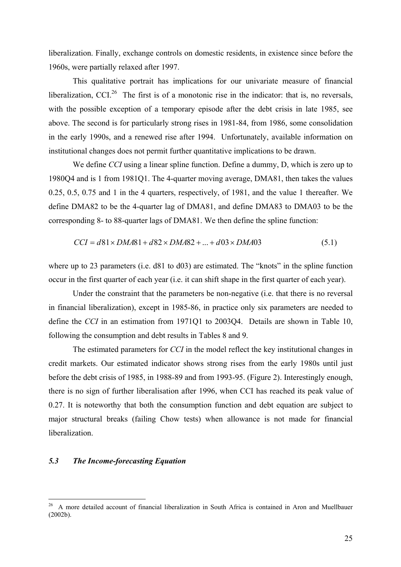liberalization. Finally, exchange controls on domestic residents, in existence since before the 1960s, were partially relaxed after 1997.

This qualitative portrait has implications for our univariate measure of financial liberalization, CCI.<sup>26</sup> The first is of a monotonic rise in the indicator: that is, no reversals, with the possible exception of a temporary episode after the debt crisis in late 1985, see above. The second is for particularly strong rises in 1981-84, from 1986, some consolidation in the early 1990s, and a renewed rise after 1994. Unfortunately, available information on institutional changes does not permit further quantitative implications to be drawn.

We define *CCI* using a linear spline function. Define a dummy, D, which is zero up to 1980Q4 and is 1 from 1981Q1. The 4-quarter moving average, DMA81, then takes the values 0.25, 0.5, 0.75 and 1 in the 4 quarters, respectively, of 1981, and the value 1 thereafter. We define DMA82 to be the 4-quarter lag of DMA81, and define DMA83 to DMA03 to be the corresponding 8- to 88-quarter lags of DMA81. We then define the spline function:

$$
CCI = d81 \times DMA81 + d82 \times DMA82 + ... + d03 \times DMA03
$$
\n(5.1)

where up to 23 parameters (i.e. d81 to d03) are estimated. The "knots" in the spline function occur in the first quarter of each year (i.e. it can shift shape in the first quarter of each year).

Under the constraint that the parameters be non-negative (i.e. that there is no reversal in financial liberalization), except in 1985-86, in practice only six parameters are needed to define the *CCI* in an estimation from 1971Q1 to 2003Q4. Details are shown in Table 10, following the consumption and debt results in Tables 8 and 9.

The estimated parameters for *CCI* in the model reflect the key institutional changes in credit markets. Our estimated indicator shows strong rises from the early 1980s until just before the debt crisis of 1985, in 1988-89 and from 1993-95. (Figure 2). Interestingly enough, there is no sign of further liberalisation after 1996, when CCI has reached its peak value of 0.27. It is noteworthy that both the consumption function and debt equation are subject to major structural breaks (failing Chow tests) when allowance is not made for financial liberalization.

#### *5.3 The Income-forecasting Equation*

<sup>&</sup>lt;sup>26</sup> A more detailed account of financial liberalization in South Africa is contained in Aron and Muellbauer (2002b).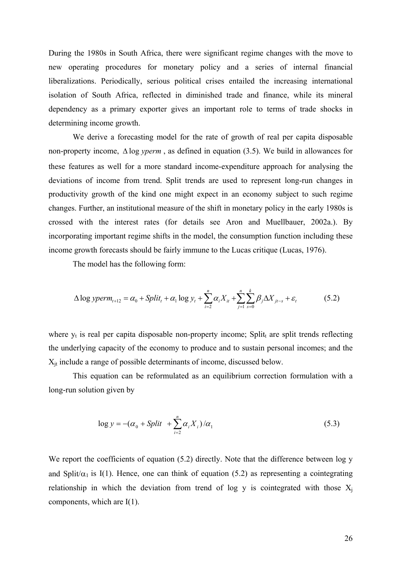During the 1980s in South Africa, there were significant regime changes with the move to new operating procedures for monetary policy and a series of internal financial liberalizations. Periodically, serious political crises entailed the increasing international isolation of South Africa, reflected in diminished trade and finance, while its mineral dependency as a primary exporter gives an important role to terms of trade shocks in determining income growth.

We derive a forecasting model for the rate of growth of real per capita disposable non-property income, ∆ log *yperm* , as defined in equation (3.5). We build in allowances for these features as well for a more standard income-expenditure approach for analysing the deviations of income from trend. Split trends are used to represent long-run changes in productivity growth of the kind one might expect in an economy subject to such regime changes. Further, an institutional measure of the shift in monetary policy in the early 1980s is crossed with the interest rates (for details see Aron and Muellbauer, 2002a.). By incorporating important regime shifts in the model, the consumption function including these income growth forecasts should be fairly immune to the Lucas critique (Lucas, 1976).

The model has the following form:

$$
\Delta \log \text{yperm}_{t+12} = \alpha_0 + \text{Split}_t + \alpha_1 \log y_t + \sum_{i=2}^n \alpha_i X_{it} + \sum_{j=1}^n \sum_{s=0}^k \beta_j \Delta X_{jt-s} + \varepsilon_t \tag{5.2}
$$

where  $y_t$  is real per capita disposable non-property income; Split<sub>t</sub> are split trends reflecting the underlying capacity of the economy to produce and to sustain personal incomes; and the  $X_{it}$  include a range of possible determinants of income, discussed below.

This equation can be reformulated as an equilibrium correction formulation with a long-run solution given by

$$
\log y = -(\alpha_0 + Split + \sum_{i=2}^{n} \alpha_i X_i)/\alpha_1 \tag{5.3}
$$

We report the coefficients of equation (5.2) directly. Note that the difference between log y and Split/ $\alpha_1$  is I(1). Hence, one can think of equation (5.2) as representing a cointegrating relationship in which the deviation from trend of log y is cointegrated with those  $X_i$ components, which are I(1).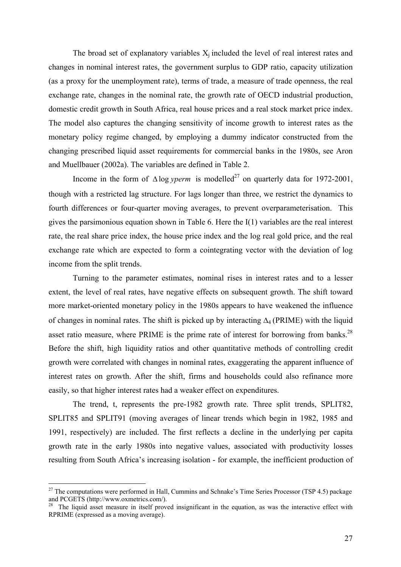The broad set of explanatory variables  $X_i$  included the level of real interest rates and changes in nominal interest rates, the government surplus to GDP ratio, capacity utilization (as a proxy for the unemployment rate), terms of trade, a measure of trade openness, the real exchange rate, changes in the nominal rate, the growth rate of OECD industrial production, domestic credit growth in South Africa, real house prices and a real stock market price index. The model also captures the changing sensitivity of income growth to interest rates as the monetary policy regime changed, by employing a dummy indicator constructed from the changing prescribed liquid asset requirements for commercial banks in the 1980s, see Aron and Muellbauer (2002a). The variables are defined in Table 2.

Income in the form of  $\triangle \log y$  *perm* is modelled<sup>27</sup> on quarterly data for 1972-2001, though with a restricted lag structure. For lags longer than three, we restrict the dynamics to fourth differences or four-quarter moving averages, to prevent overparameterisation. This gives the parsimonious equation shown in Table 6. Here the I(1) variables are the real interest rate, the real share price index, the house price index and the log real gold price, and the real exchange rate which are expected to form a cointegrating vector with the deviation of log income from the split trends.

Turning to the parameter estimates, nominal rises in interest rates and to a lesser extent, the level of real rates, have negative effects on subsequent growth. The shift toward more market-oriented monetary policy in the 1980s appears to have weakened the influence of changes in nominal rates. The shift is picked up by interacting ∆4 (PRIME) with the liquid asset ratio measure, where PRIME is the prime rate of interest for borrowing from banks.<sup>28</sup> Before the shift, high liquidity ratios and other quantitative methods of controlling credit growth were correlated with changes in nominal rates, exaggerating the apparent influence of interest rates on growth. After the shift, firms and households could also refinance more easily, so that higher interest rates had a weaker effect on expenditures.

The trend, t, represents the pre-1982 growth rate. Three split trends, SPLIT82, SPLIT85 and SPLIT91 (moving averages of linear trends which begin in 1982, 1985 and 1991, respectively) are included. The first reflects a decline in the underlying per capita growth rate in the early 1980s into negative values, associated with productivity losses resulting from South Africa's increasing isolation - for example, the inefficient production of

 $27$  The computations were performed in Hall, Cummins and Schnake's Time Series Processor (TSP 4.5) package and PCGETS (http://www.oxmetrics.com/).

<sup>&</sup>lt;sup>28</sup> The liquid asset measure in itself proved insignificant in the equation, as was the interactive effect with RPRIME (expressed as a moving average).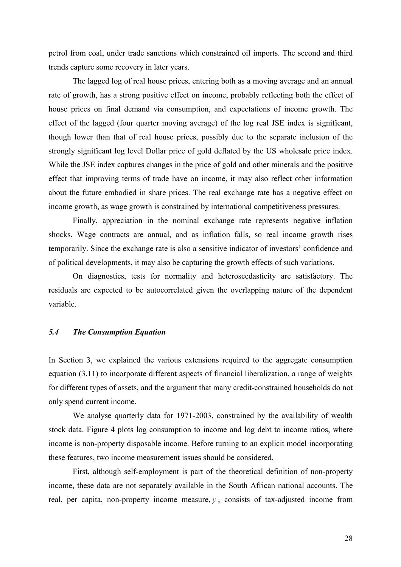petrol from coal, under trade sanctions which constrained oil imports. The second and third trends capture some recovery in later years.

The lagged log of real house prices, entering both as a moving average and an annual rate of growth, has a strong positive effect on income, probably reflecting both the effect of house prices on final demand via consumption, and expectations of income growth. The effect of the lagged (four quarter moving average) of the log real JSE index is significant, though lower than that of real house prices, possibly due to the separate inclusion of the strongly significant log level Dollar price of gold deflated by the US wholesale price index. While the JSE index captures changes in the price of gold and other minerals and the positive effect that improving terms of trade have on income, it may also reflect other information about the future embodied in share prices. The real exchange rate has a negative effect on income growth, as wage growth is constrained by international competitiveness pressures.

Finally, appreciation in the nominal exchange rate represents negative inflation shocks. Wage contracts are annual, and as inflation falls, so real income growth rises temporarily. Since the exchange rate is also a sensitive indicator of investors' confidence and of political developments, it may also be capturing the growth effects of such variations.

On diagnostics, tests for normality and heteroscedasticity are satisfactory. The residuals are expected to be autocorrelated given the overlapping nature of the dependent variable.

#### *5.4 The Consumption Equation*

In Section 3, we explained the various extensions required to the aggregate consumption equation (3.11) to incorporate different aspects of financial liberalization, a range of weights for different types of assets, and the argument that many credit-constrained households do not only spend current income.

 We analyse quarterly data for 1971-2003, constrained by the availability of wealth stock data. Figure 4 plots log consumption to income and log debt to income ratios, where income is non-property disposable income. Before turning to an explicit model incorporating these features, two income measurement issues should be considered.

First, although self-employment is part of the theoretical definition of non-property income, these data are not separately available in the South African national accounts. The real, per capita, non-property income measure,  $y$ , consists of tax-adjusted income from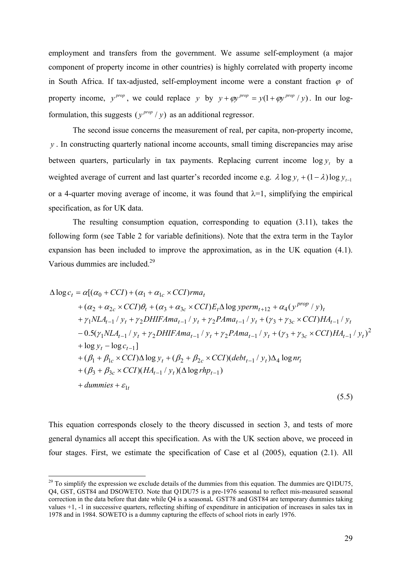employment and transfers from the government. We assume self-employment (a major component of property income in other countries) is highly correlated with property income in South Africa. If tax-adjusted, self-employment income were a constant fraction  $\varphi$  of property income,  $y^{prop}$ , we could replace y by  $y + \varphi y^{prop} = y(1 + \varphi y^{prop} / y)$ . In our logformulation, this suggests  $(y^{prop}/y)$  as an additional regressor.

The second issue concerns the measurement of real, per capita, non-property income, . In constructing quarterly national income accounts, small timing discrepancies may arise *y* between quarters, particularly in tax payments. Replacing current income  $\log y_t$  by a weighted average of current and last quarter's recorded income e.g.  $\lambda \log y_t + (1 - \lambda) \log y_{t-1}$ or a 4-quarter moving average of income, it was found that  $\lambda = 1$ , simplifying the empirical specification, as for UK data.

 The resulting consumption equation, corresponding to equation (3.11), takes the following form (see Table 2 for variable definitions). Note that the extra term in the Taylor expansion has been included to improve the approximation, as in the UK equation (4.1). Various dummies are included.<sup>29</sup>

$$
\Delta \log c_{t} = \alpha [(\alpha_{0} + CCI) + (\alpha_{1} + \alpha_{1c} \times CCI)rma_{t} \n+ (\alpha_{2} + \alpha_{2c} \times CCI)\theta_{t} + (\alpha_{3} + \alpha_{3c} \times CCI)E_{t}\Delta \log yperm_{t+12} + \alpha_{4}(y^{prop}/y)_{t} \n+ \gamma_{1}NLA_{t-1}/y_{t} + \gamma_{2}DHIFAma_{t-1}/y_{t} + \gamma_{2}PAma_{t-1}/y_{t} + (\gamma_{3} + \gamma_{3c} \times CCI)HA_{t-1}/y_{t} \n- 0.5(\gamma_{1}NLA_{t-1}/y_{t} + \gamma_{2}DHIFAma_{t-1}/y_{t} + \gamma_{2}PAma_{t-1}/y_{t} + (\gamma_{3} + \gamma_{3c} \times CCI)HA_{t-1}/y_{t})^{2} \n+ \log y_{t} - \log c_{t-1}] \n+ (\beta_{1} + \beta_{1c} \times CCI)\Delta \log y_{t} + (\beta_{2} + \beta_{2c} \times CCI)(debt_{t-1}/y_{t})\Delta_{4} \log nr_{t} \n+ (\beta_{3} + \beta_{3c} \times CCI)(HA_{t-1}/y_{t})(\Delta \log rhp_{t-1}) \n+ dummies + \varepsilon_{1t}
$$
\n(5.5)

This equation corresponds closely to the theory discussed in section 3, and tests of more general dynamics all accept this specification. As with the UK section above, we proceed in four stages. First, we estimate the specification of Case et al (2005), equation (2.1). All

 $^{29}$  To simplify the expression we exclude details of the dummies from this equation. The dummies are Q1DU75, Q4, GST, GST84 and DSOWETO. Note that Q1DU75 is a pre-1976 seasonal to reflect mis-measured seasonal correction in the data before that date while Q4 is a seasonal**.** GST78 and GST84 are temporary dummies taking values +1, -1 in successive quarters, reflecting shifting of expenditure in anticipation of increases in sales tax in 1978 and in 1984. SOWETO is a dummy capturing the effects of school riots in early 1976.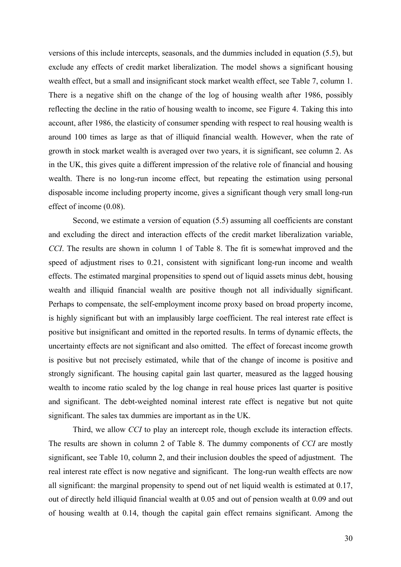versions of this include intercepts, seasonals, and the dummies included in equation (5.5), but exclude any effects of credit market liberalization. The model shows a significant housing wealth effect, but a small and insignificant stock market wealth effect, see Table 7, column 1. There is a negative shift on the change of the log of housing wealth after 1986, possibly reflecting the decline in the ratio of housing wealth to income, see Figure 4. Taking this into account, after 1986, the elasticity of consumer spending with respect to real housing wealth is around 100 times as large as that of illiquid financial wealth. However, when the rate of growth in stock market wealth is averaged over two years, it is significant, see column 2. As in the UK, this gives quite a different impression of the relative role of financial and housing wealth. There is no long-run income effect, but repeating the estimation using personal disposable income including property income, gives a significant though very small long-run effect of income (0.08).

 Second, we estimate a version of equation (5.5) assuming all coefficients are constant and excluding the direct and interaction effects of the credit market liberalization variable, *CCI*. The results are shown in column 1 of Table 8. The fit is somewhat improved and the speed of adjustment rises to 0.21, consistent with significant long-run income and wealth effects. The estimated marginal propensities to spend out of liquid assets minus debt, housing wealth and illiquid financial wealth are positive though not all individually significant. Perhaps to compensate, the self-employment income proxy based on broad property income, is highly significant but with an implausibly large coefficient. The real interest rate effect is positive but insignificant and omitted in the reported results. In terms of dynamic effects, the uncertainty effects are not significant and also omitted. The effect of forecast income growth is positive but not precisely estimated, while that of the change of income is positive and strongly significant. The housing capital gain last quarter, measured as the lagged housing wealth to income ratio scaled by the log change in real house prices last quarter is positive and significant. The debt-weighted nominal interest rate effect is negative but not quite significant. The sales tax dummies are important as in the UK.

 Third, we allow *CCI* to play an intercept role, though exclude its interaction effects. The results are shown in column 2 of Table 8. The dummy components of *CCI* are mostly significant, see Table 10, column 2, and their inclusion doubles the speed of adjustment. The real interest rate effect is now negative and significant. The long-run wealth effects are now all significant: the marginal propensity to spend out of net liquid wealth is estimated at 0.17, out of directly held illiquid financial wealth at 0.05 and out of pension wealth at 0.09 and out of housing wealth at 0.14, though the capital gain effect remains significant. Among the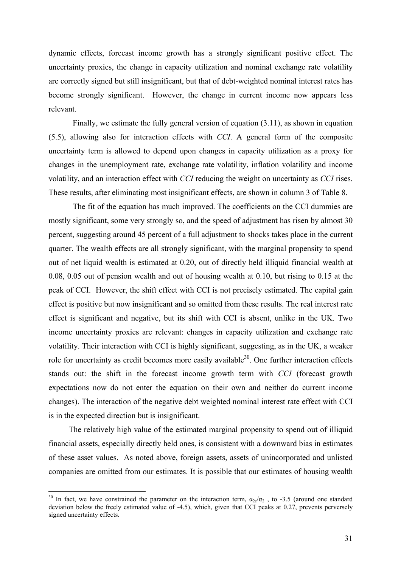dynamic effects, forecast income growth has a strongly significant positive effect. The uncertainty proxies, the change in capacity utilization and nominal exchange rate volatility are correctly signed but still insignificant, but that of debt-weighted nominal interest rates has become strongly significant. However, the change in current income now appears less relevant.

 Finally, we estimate the fully general version of equation (3.11), as shown in equation (5.5), allowing also for interaction effects with *CCI*. A general form of the composite uncertainty term is allowed to depend upon changes in capacity utilization as a proxy for changes in the unemployment rate, exchange rate volatility, inflation volatility and income volatility, and an interaction effect with *CCI* reducing the weight on uncertainty as *CCI* rises. These results, after eliminating most insignificant effects, are shown in column 3 of Table 8.

 The fit of the equation has much improved. The coefficients on the CCI dummies are mostly significant, some very strongly so, and the speed of adjustment has risen by almost 30 percent, suggesting around 45 percent of a full adjustment to shocks takes place in the current quarter. The wealth effects are all strongly significant, with the marginal propensity to spend out of net liquid wealth is estimated at 0.20, out of directly held illiquid financial wealth at 0.08, 0.05 out of pension wealth and out of housing wealth at 0.10, but rising to 0.15 at the peak of CCI. However, the shift effect with CCI is not precisely estimated. The capital gain effect is positive but now insignificant and so omitted from these results. The real interest rate effect is significant and negative, but its shift with CCI is absent, unlike in the UK. Two income uncertainty proxies are relevant: changes in capacity utilization and exchange rate volatility. Their interaction with CCI is highly significant, suggesting, as in the UK, a weaker role for uncertainty as credit becomes more easily available $30$ . One further interaction effects stands out: the shift in the forecast income growth term with *CCI* (forecast growth expectations now do not enter the equation on their own and neither do current income changes). The interaction of the negative debt weighted nominal interest rate effect with CCI is in the expected direction but is insignificant.

 The relatively high value of the estimated marginal propensity to spend out of illiquid financial assets, especially directly held ones, is consistent with a downward bias in estimates of these asset values. As noted above, foreign assets, assets of unincorporated and unlisted companies are omitted from our estimates. It is possible that our estimates of housing wealth

<sup>&</sup>lt;sup>30</sup> In fact, we have constrained the parameter on the interaction term,  $\alpha_{2c}/\alpha_2$ , to -3.5 (around one standard deviation below the freely estimated value of -4.5), which, given that CCI peaks at 0.27, prevents perversely signed uncertainty effects.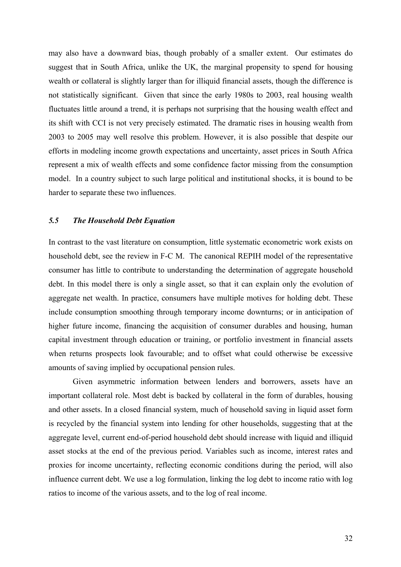may also have a downward bias, though probably of a smaller extent. Our estimates do suggest that in South Africa, unlike the UK, the marginal propensity to spend for housing wealth or collateral is slightly larger than for illiquid financial assets, though the difference is not statistically significant. Given that since the early 1980s to 2003, real housing wealth fluctuates little around a trend, it is perhaps not surprising that the housing wealth effect and its shift with CCI is not very precisely estimated. The dramatic rises in housing wealth from 2003 to 2005 may well resolve this problem. However, it is also possible that despite our efforts in modeling income growth expectations and uncertainty, asset prices in South Africa represent a mix of wealth effects and some confidence factor missing from the consumption model. In a country subject to such large political and institutional shocks, it is bound to be harder to separate these two influences.

#### *5.5 The Household Debt Equation*

In contrast to the vast literature on consumption, little systematic econometric work exists on household debt, see the review in F-C M. The canonical REPIH model of the representative consumer has little to contribute to understanding the determination of aggregate household debt. In this model there is only a single asset, so that it can explain only the evolution of aggregate net wealth. In practice, consumers have multiple motives for holding debt. These include consumption smoothing through temporary income downturns; or in anticipation of higher future income, financing the acquisition of consumer durables and housing, human capital investment through education or training, or portfolio investment in financial assets when returns prospects look favourable; and to offset what could otherwise be excessive amounts of saving implied by occupational pension rules.

Given asymmetric information between lenders and borrowers, assets have an important collateral role. Most debt is backed by collateral in the form of durables, housing and other assets. In a closed financial system, much of household saving in liquid asset form is recycled by the financial system into lending for other households, suggesting that at the aggregate level, current end-of-period household debt should increase with liquid and illiquid asset stocks at the end of the previous period. Variables such as income, interest rates and proxies for income uncertainty, reflecting economic conditions during the period, will also influence current debt. We use a log formulation, linking the log debt to income ratio with log ratios to income of the various assets, and to the log of real income.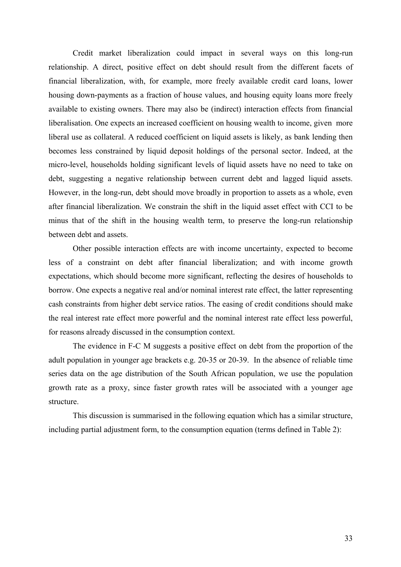Credit market liberalization could impact in several ways on this long-run relationship. A direct, positive effect on debt should result from the different facets of financial liberalization, with, for example, more freely available credit card loans, lower housing down-payments as a fraction of house values, and housing equity loans more freely available to existing owners. There may also be (indirect) interaction effects from financial liberalisation. One expects an increased coefficient on housing wealth to income, given more liberal use as collateral. A reduced coefficient on liquid assets is likely, as bank lending then becomes less constrained by liquid deposit holdings of the personal sector. Indeed, at the micro-level, households holding significant levels of liquid assets have no need to take on debt, suggesting a negative relationship between current debt and lagged liquid assets. However, in the long-run, debt should move broadly in proportion to assets as a whole, even after financial liberalization. We constrain the shift in the liquid asset effect with CCI to be minus that of the shift in the housing wealth term, to preserve the long-run relationship between debt and assets.

Other possible interaction effects are with income uncertainty, expected to become less of a constraint on debt after financial liberalization; and with income growth expectations, which should become more significant, reflecting the desires of households to borrow. One expects a negative real and/or nominal interest rate effect, the latter representing cash constraints from higher debt service ratios. The easing of credit conditions should make the real interest rate effect more powerful and the nominal interest rate effect less powerful, for reasons already discussed in the consumption context.

The evidence in F-C M suggests a positive effect on debt from the proportion of the adult population in younger age brackets e.g. 20-35 or 20-39. In the absence of reliable time series data on the age distribution of the South African population, we use the population growth rate as a proxy, since faster growth rates will be associated with a younger age structure.

This discussion is summarised in the following equation which has a similar structure, including partial adjustment form, to the consumption equation (terms defined in Table 2):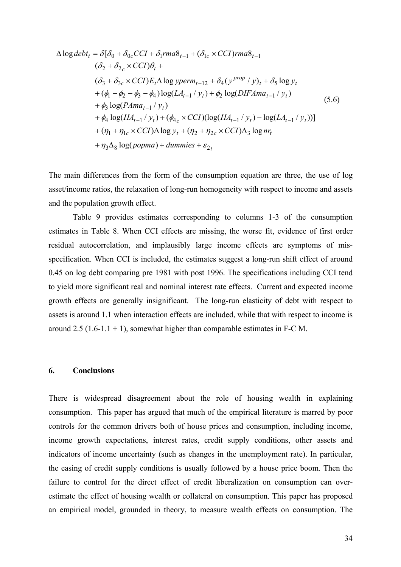$$
\Delta \log debt_t = \delta[\delta_0 + \delta_{0c} CCI + \delta_1 rma\delta_{t-1} + (\delta_{1c} \times CCI) rma\delta_{t-1}
$$
  
\n
$$
(\delta_2 + \delta_{2c} \times CCI)\theta_t +
$$
  
\n
$$
(\delta_3 + \delta_{3c} \times CCI)E_t \Delta \log yperm_{t+12} + \delta_4(y^{prop} / y)_t + \delta_5 \log y_t
$$
  
\n
$$
+ (\phi_1 - \phi_2 - \phi_3 - \phi_4) \log(LA_{t-1} / y_t) + \phi_2 \log(DIFAma_{t-1} / y_t)
$$
  
\n
$$
+ \phi_3 \log(PAma_{t-1} / y_t)
$$
  
\n
$$
+ \phi_4 \log(HA_{t-1} / y_t) + (\phi_{4c} \times CCI)(\log(HA_{t-1} / y_t) - \log(LA_{t-1} / y_t))]
$$
  
\n
$$
+ (\eta_1 + \eta_{1c} \times CCI) \Delta \log y_t + (\eta_2 + \eta_{2c} \times CCI) \Delta_3 \log nr_t
$$
  
\n
$$
+ \eta_3 \Delta_8 \log(popma) + dummies + \varepsilon_{2t}
$$
 (5.6)

The main differences from the form of the consumption equation are three, the use of log asset/income ratios, the relaxation of long-run homogeneity with respect to income and assets and the population growth effect.

Table 9 provides estimates corresponding to columns 1-3 of the consumption estimates in Table 8. When CCI effects are missing, the worse fit, evidence of first order residual autocorrelation, and implausibly large income effects are symptoms of misspecification. When CCI is included, the estimates suggest a long-run shift effect of around 0.45 on log debt comparing pre 1981 with post 1996. The specifications including CCI tend to yield more significant real and nominal interest rate effects. Current and expected income growth effects are generally insignificant. The long-run elasticity of debt with respect to assets is around 1.1 when interaction effects are included, while that with respect to income is around 2.5 (1.6-1.1 + 1), somewhat higher than comparable estimates in F-C M.

#### **6. Conclusions**

There is widespread disagreement about the role of housing wealth in explaining consumption. This paper has argued that much of the empirical literature is marred by poor controls for the common drivers both of house prices and consumption, including income, income growth expectations, interest rates, credit supply conditions, other assets and indicators of income uncertainty (such as changes in the unemployment rate). In particular, the easing of credit supply conditions is usually followed by a house price boom. Then the failure to control for the direct effect of credit liberalization on consumption can overestimate the effect of housing wealth or collateral on consumption. This paper has proposed an empirical model, grounded in theory, to measure wealth effects on consumption. The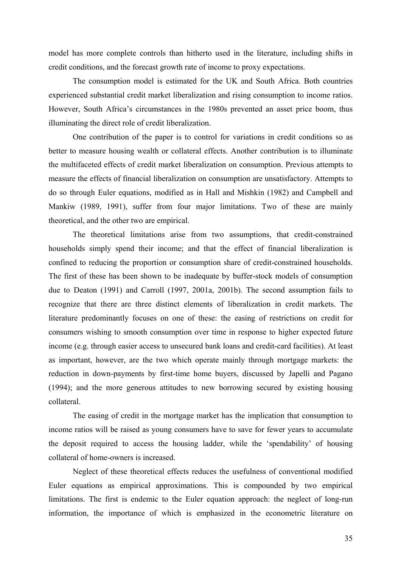model has more complete controls than hitherto used in the literature, including shifts in credit conditions, and the forecast growth rate of income to proxy expectations.

 The consumption model is estimated for the UK and South Africa. Both countries experienced substantial credit market liberalization and rising consumption to income ratios. However, South Africa's circumstances in the 1980s prevented an asset price boom, thus illuminating the direct role of credit liberalization.

 One contribution of the paper is to control for variations in credit conditions so as better to measure housing wealth or collateral effects. Another contribution is to illuminate the multifaceted effects of credit market liberalization on consumption. Previous attempts to measure the effects of financial liberalization on consumption are unsatisfactory. Attempts to do so through Euler equations, modified as in Hall and Mishkin (1982) and Campbell and Mankiw (1989, 1991), suffer from four major limitations. Two of these are mainly theoretical, and the other two are empirical.

The theoretical limitations arise from two assumptions, that credit-constrained households simply spend their income; and that the effect of financial liberalization is confined to reducing the proportion or consumption share of credit-constrained households. The first of these has been shown to be inadequate by buffer-stock models of consumption due to Deaton (1991) and Carroll (1997, 2001a, 2001b). The second assumption fails to recognize that there are three distinct elements of liberalization in credit markets. The literature predominantly focuses on one of these: the easing of restrictions on credit for consumers wishing to smooth consumption over time in response to higher expected future income (e.g. through easier access to unsecured bank loans and credit-card facilities). At least as important, however, are the two which operate mainly through mortgage markets: the reduction in down-payments by first-time home buyers, discussed by Japelli and Pagano (1994); and the more generous attitudes to new borrowing secured by existing housing collateral.

The easing of credit in the mortgage market has the implication that consumption to income ratios will be raised as young consumers have to save for fewer years to accumulate the deposit required to access the housing ladder, while the 'spendability' of housing collateral of home-owners is increased.

Neglect of these theoretical effects reduces the usefulness of conventional modified Euler equations as empirical approximations. This is compounded by two empirical limitations. The first is endemic to the Euler equation approach: the neglect of long-run information, the importance of which is emphasized in the econometric literature on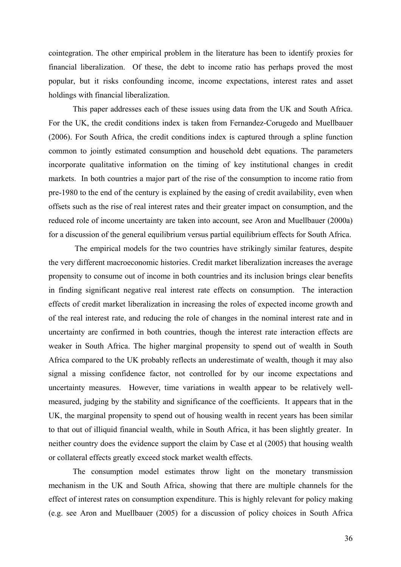cointegration. The other empirical problem in the literature has been to identify proxies for financial liberalization. Of these, the debt to income ratio has perhaps proved the most popular, but it risks confounding income, income expectations, interest rates and asset holdings with financial liberalization.

This paper addresses each of these issues using data from the UK and South Africa. For the UK, the credit conditions index is taken from Fernandez-Corugedo and Muellbauer (2006). For South Africa, the credit conditions index is captured through a spline function common to jointly estimated consumption and household debt equations. The parameters incorporate qualitative information on the timing of key institutional changes in credit markets. In both countries a major part of the rise of the consumption to income ratio from pre-1980 to the end of the century is explained by the easing of credit availability, even when offsets such as the rise of real interest rates and their greater impact on consumption, and the reduced role of income uncertainty are taken into account, see Aron and Muellbauer (2000a) for a discussion of the general equilibrium versus partial equilibrium effects for South Africa.

 The empirical models for the two countries have strikingly similar features, despite the very different macroeconomic histories. Credit market liberalization increases the average propensity to consume out of income in both countries and its inclusion brings clear benefits in finding significant negative real interest rate effects on consumption. The interaction effects of credit market liberalization in increasing the roles of expected income growth and of the real interest rate, and reducing the role of changes in the nominal interest rate and in uncertainty are confirmed in both countries, though the interest rate interaction effects are weaker in South Africa. The higher marginal propensity to spend out of wealth in South Africa compared to the UK probably reflects an underestimate of wealth, though it may also signal a missing confidence factor, not controlled for by our income expectations and uncertainty measures. However, time variations in wealth appear to be relatively wellmeasured, judging by the stability and significance of the coefficients. It appears that in the UK, the marginal propensity to spend out of housing wealth in recent years has been similar to that out of illiquid financial wealth, while in South Africa, it has been slightly greater. In neither country does the evidence support the claim by Case et al (2005) that housing wealth or collateral effects greatly exceed stock market wealth effects.

The consumption model estimates throw light on the monetary transmission mechanism in the UK and South Africa, showing that there are multiple channels for the effect of interest rates on consumption expenditure. This is highly relevant for policy making (e.g. see Aron and Muellbauer (2005) for a discussion of policy choices in South Africa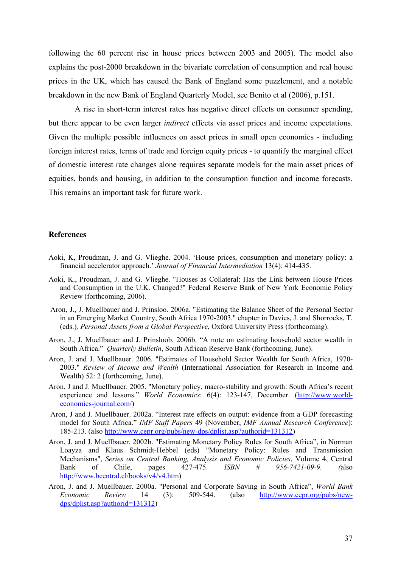following the 60 percent rise in house prices between 2003 and 2005). The model also explains the post-2000 breakdown in the bivariate correlation of consumption and real house prices in the UK, which has caused the Bank of England some puzzlement, and a notable breakdown in the new Bank of England Quarterly Model, see Benito et al (2006), p.151.

 A rise in short-term interest rates has negative direct effects on consumer spending, but there appear to be even larger *indirect* effects via asset prices and income expectations. Given the multiple possible influences on asset prices in small open economies - including foreign interest rates, terms of trade and foreign equity prices - to quantify the marginal effect of domestic interest rate changes alone requires separate models for the main asset prices of equities, bonds and housing, in addition to the consumption function and income forecasts. This remains an important task for future work.

#### **References**

- Aoki, K, Proudman, J. and G. Vlieghe. 2004. 'House prices, consumption and monetary policy: a financial accelerator approach.' *Journal of Financial Intermediation* 13(4): 414-435.
- Aoki, K., Proudman, J. and G. Vlieghe. "Houses as Collateral: Has the Link between House Prices and Consumption in the U.K. Changed?" Federal Reserve Bank of New York Economic Policy Review (forthcoming, 2006).
- Aron, J., J. Muellbauer and J. Prinsloo. 2006a. "Estimating the Balance Sheet of the Personal Sector in an Emerging Market Country, South Africa 1970-2003." chapter in Davies, J. and Shorrocks, T. (eds.)*, Personal Assets from a Global Perspective*, Oxford University Press (forthcoming).
- Aron, J., J. Muellbauer and J. Prinsloob. 2006b. "A note on estimating household sector wealth in South Africa." *Quarterly Bulletin*, South African Reserve Bank (forthcoming, June).
- Aron, J. and J. Muellbauer. 2006. "Estimates of Household Sector Wealth for South Africa, 1970- 2003." *Review of Income and Wealth* (International Association for Research in Income and Wealth) 52: 2 (forthcoming, June).
- Aron, J and J. Muellbauer. 2005. "Monetary policy, macro-stability and growth: South Africa's recent experience and lessons." *World Economics*: 6(4): 123-147, December. (http://www.worldeconomics-journal.com/)
- Aron, J and J. Muellbauer. 2002a. "Interest rate effects on output: evidence from a GDP forecasting model for South Africa." *IMF Staff Papers* 49 (November, *IMF Annual Research Conference*): 185-213. (also http://www.cepr.org/pubs/new-dps/dplist.asp?authorid=131312)
- Aron, J. and J. Muellbauer. 2002b. "Estimating Monetary Policy Rules for South Africa", in Norman Loayza and Klaus Schmidt-Hebbel (eds) "Monetary Policy: Rules and Transmission Mechanisms", *Series on Central Banking, Analysis and Economic Policies*, Volume 4, Central Bank of Chile, pages 427-475. *ISBN # 956-7421-09-9. (*also http://www.bcentral.cl/books/v4/v4.htm)
- Aron, J. and J. Muellbauer. 2000a. "Personal and Corporate Saving in South Africa", *World Bank Economic Review* 14 (3): 509-544. (also http://www.cepr.org/pubs/newdps/dplist.asp?authorid=131312)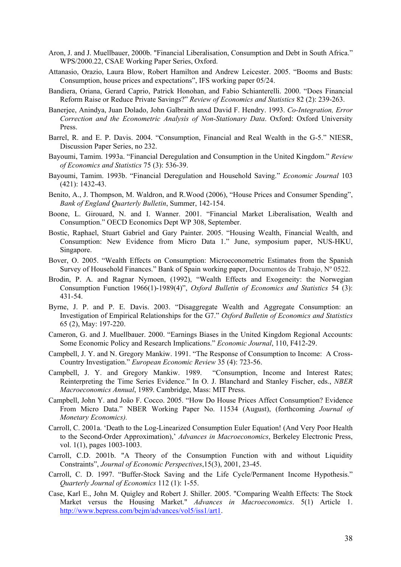- Aron, J. and J. Muellbauer, 2000b. "Financial Liberalisation, Consumption and Debt in South Africa." WPS/2000.22, CSAE Working Paper Series, Oxford.
- Attanasio, Orazio, Laura Blow, Robert Hamilton and Andrew Leicester. 2005. "Booms and Busts: Consumption, house prices and expectations", IFS working paper 05/24.
- Bandiera, Oriana, Gerard Caprio, Patrick Honohan, and Fabio Schianterelli. 2000. "Does Financial Reform Raise or Reduce Private Savings?" *Review of Economics and Statistics* 82 (2): 239-263.
- Banerjee, Anindya, Juan Dolado, John Galbraith anxd David F. Hendry. 1993. *Co-Integration, Error Correction and the Econometric Analysis of Non-Stationary Data*. Oxford: Oxford University Press.
- Barrel, R. and E. P. Davis. 2004. "Consumption, Financial and Real Wealth in the G-5." NIESR, Discussion Paper Series, no 232.
- Bayoumi, Tamim. 1993a. "Financial Deregulation and Consumption in the United Kingdom." *Review of Economics and Statistics* 75 (3): 536-39.
- Bayoumi, Tamim. 1993b. "Financial Deregulation and Household Saving." *Economic Journal* 103 (421): 1432-43.
- Benito, A., J. Thompson, M. Waldron, and R.Wood (2006), "House Prices and Consumer Spending", *Bank of England Quarterly Bulletin*, Summer, 142-154.
- Boone, L. Girouard, N. and I. Wanner. 2001. "Financial Market Liberalisation, Wealth and Consumption." OECD Economics Dept WP 308, September.
- Bostic, Raphael, Stuart Gabriel and Gary Painter. 2005. "Housing Wealth, Financial Wealth, and Consumption: New Evidence from Micro Data 1." June, symposium paper, NUS-HKU, Singapore.
- Bover, O. 2005. "Wealth Effects on Consumption: Microeconometric Estimates from the Spanish Survey of Household Finances." Bank of Spain working paper, Documentos de Trabajo, Nº 0522.
- Brodin, P. A. and Ragnar Nymoen, (1992), "Wealth Effects and Exogeneity: the Norwegian Consumption Function 1966(1)-1989(4)", *Oxford Bulletin of Economics and Statistics* 54 (3): 431-54.
- Byrne, J. P. and P. E. Davis. 2003. "Disaggregate Wealth and Aggregate Consumption: an Investigation of Empirical Relationships for the G7." *Oxford Bulletin of Economics and Statistics* 65 (2), May: 197-220.
- Cameron, G. and J. Muellbauer. 2000. "Earnings Biases in the United Kingdom Regional Accounts: Some Economic Policy and Research Implications." *Economic Journal*, 110, F412-29.
- Campbell, J. Y. and N. Gregory Mankiw. 1991. "The Response of Consumption to Income: A Cross-Country Investigation." *European Economic Review* 35 (4): 723-56.
- Campbell, J. Y. and Gregory Mankiw. 1989. "Consumption, Income and Interest Rates; Reinterpreting the Time Series Evidence." In O. J. Blanchard and Stanley Fischer, eds., *NBER Macroeconomics Annual*, 1989. Cambridge, Mass: MIT Press.
- Campbell, John Y. and João F. Cocco. 2005. "How Do House Prices Affect Consumption? Evidence From Micro Data." NBER Working Paper No. 11534 (August), (forthcoming *Journal of Monetary Economics).*
- Carroll, C. 2001a. 'Death to the Log-Linearized Consumption Euler Equation! (And Very Poor Health to the Second-Order Approximation),' *Advances in Macroeconomics*, Berkeley Electronic Press, vol. 1(1), pages 1003-1003.
- Carroll, C.D. 2001b. "A Theory of the Consumption Function with and without Liquidity Constraints", *Journal of Economic Perspectives*,15(3), 2001, 23-45.
- Carroll, C. D. 1997. "Buffer-Stock Saving and the Life Cycle/Permanent Income Hypothesis." *Quarterly Journal of Economics* 112 (1): 1-55.
- Case, Karl E., John M. Quigley and Robert J. Shiller. 2005. "Comparing Wealth Effects: The Stock Market versus the Housing Market." *Advances in Macroeconomics*. 5(1) Article 1. http://www.bepress.com/bejm/advances/vol5/iss1/art1.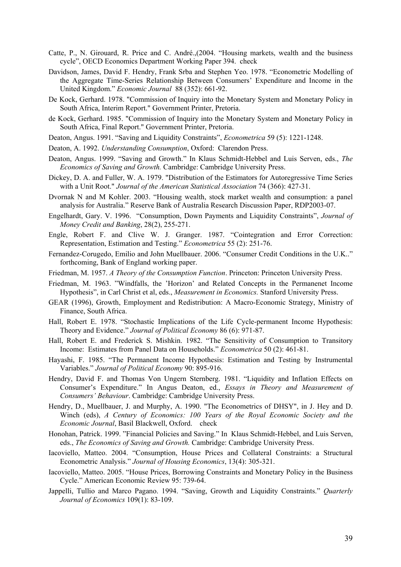- Catte, P., N. Girouard, R. Price and C. André.,(2004. "Housing markets, wealth and the business cycle", OECD Economics Department Working Paper 394. check
- Davidson, James, David F. Hendry, Frank Srba and Stephen Yeo. 1978. "Econometric Modelling of the Aggregate Time-Series Relationship Between Consumers' Expenditure and Income in the United Kingdom." *Economic Journal* 88 (352): 661-92.
- De Kock, Gerhard. 1978. "Commission of Inquiry into the Monetary System and Monetary Policy in South Africa, Interim Report." Government Printer, Pretoria.
- de Kock, Gerhard. 1985. "Commission of Inquiry into the Monetary System and Monetary Policy in South Africa, Final Report." Government Printer, Pretoria.
- Deaton, Angus. 1991. "Saving and Liquidity Constraints", *Econometrica* 59 (5): 1221-1248.
- Deaton, A. 1992. *Understanding Consumption*, Oxford: Clarendon Press.
- Deaton, Angus. 1999. "Saving and Growth." In Klaus Schmidt-Hebbel and Luis Serven, eds., *The Economics of Saving and Growth.* Cambridge: Cambridge University Press.
- Dickey, D. A. and Fuller, W. A. 1979. "Distribution of the Estimators for Autoregressive Time Series with a Unit Root." *Journal of the American Statistical Association* 74 (366): 427-31.
- Dvornak N and M Kohler. 2003. "Housing wealth, stock market wealth and consumption: a panel analysis for Australia." Reserve Bank of Australia Research Discussion Paper, RDP2003-07.
- Engelhardt, Gary. V. 1996. "Consumption, Down Payments and Liquidity Constraints", *Journal of Money Credit and Banking*, 28(2), 255-271.
- Engle, Robert F. and Clive W. J. Granger. 1987. "Cointegration and Error Correction: Representation, Estimation and Testing." *Econometrica* 55 (2): 251-76.
- Fernandez-Corugedo, Emilio and John Muellbauer. 2006. "Consumer Credit Conditions in the U.K.." forthcoming, Bank of England working paper.
- Friedman, M. 1957. *A Theory of the Consumption Function*. Princeton: Princeton University Press.
- Friedman, M. 1963. "Windfalls, the 'Horizon' and Related Concepts in the Permanenet Income Hypothesis", in Carl Christ et al, eds., *Measurement in Economics.* Stanford University Press.
- GEAR (1996), Growth, Employment and Redistribution: A Macro-Economic Strategy, Ministry of Finance, South Africa.
- Hall, Robert E. 1978. "Stochastic Implications of the Life Cycle-permanent Income Hypothesis: Theory and Evidence." *Journal of Political Economy* 86 (6): 971-87.
- Hall, Robert E. and Frederick S. Mishkin. 1982. "The Sensitivity of Consumption to Transitory Income: Estimates from Panel Data on Households." *Econometrica* 50 (2): 461-81.
- Hayashi, F. 1985. "The Permanent Income Hypothesis: Estimation and Testing by Instrumental Variables." *Journal of Political Economy* 90: 895-916.
- Hendry, David F. and Thomas Von Ungern Sternberg. 1981. "Liquidity and Inflation Effects on Consumer's Expenditure." In Angus Deaton, ed., *Essays in Theory and Measurement of Consumers' Behaviour*. Cambridge: Cambridge University Press.
- Hendry, D., Muellbauer, J. and Murphy, A. 1990. "The Econometrics of DHSY", in J. Hey and D. Winch (eds), *A Century of Economics: 100 Years of the Royal Economic Society and the Economic Journal*, Basil Blackwell, Oxford. check
- Honohan, Patrick. 1999. "Financial Policies and Saving." In Klaus Schmidt-Hebbel, and Luis Serven, eds., *The Economics of Saving and Growth.* Cambridge: Cambridge University Press.
- Iacoviello, Matteo. 2004. "Consumption, House Prices and Collateral Constraints: a Structural Econometric Analysis." *Journal of Housing Economics*, 13(4): 305-321.
- Iacoviello, Matteo. 2005. "House Prices, Borrowing Constraints and Monetary Policy in the Business Cycle." American Economic Review 95: 739-64.
- Jappelli, Tullio and Marco Pagano. 1994. "Saving, Growth and Liquidity Constraints." *Quarterly Journal of Economics* 109(1): 83-109.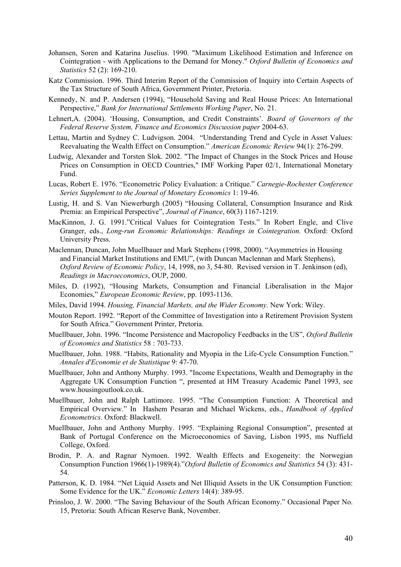- Johansen, Soren and Katarina Juselius. 1990. "Maximum Likelihood Estimation and Inference on Cointegration - with Applications to the Demand for Money." *Oxford Bulletin of Economics and Statistics* 52 (2): 169-210.
- Katz Commission. 1996. Third Interim Report of the Commission of Inquiry into Certain Aspects of the Tax Structure of South Africa, Government Printer, Pretoria.
- Kennedy, N. and P. Andersen (1994), "Household Saving and Real House Prices: An International Perspective," *Bank for International Settlements Working Paper*, No. 21.
- Lehnert,A. (2004). 'Housing, Consumption, and Credit Constraints'. *Board of Governors of the Federal Reserve System, Finance and Economics Discussion paper* 2004-63.
- Lettau, Martin and Sydney C. Ludvigson. 2004. "Understanding Trend and Cycle in Asset Values: Reevaluating the Wealth Effect on Consumption." *American Economic Review* 94(1): 276-299.
- Ludwig, Alexander and Torsten Slok. 2002. "The Impact of Changes in the Stock Prices and House Prices on Consumption in OECD Countries," IMF Working Paper 02/1, International Monetary Fund.
- Lucas, Robert E. 1976. "Econometric Policy Evaluation: a Critique." *Carnegie-Rochester Conference Series Supplement to the Journal of Monetary Economics* 1: 19-46.
- Lustig, H. and S. Van Niewerburgh (2005) "Housing Collateral, Consumption Insurance and Risk Premia: an Empirical Perspective", *Journal of Finance*, 60(3) 1167-1219.
- MacKinnon, J. G. 1991."Critical Values for Cointegration Tests." In Robert Engle, and Clive Granger, eds., *Long-run Economic Relationships: Readings in Cointegration.* Oxford: Oxford University Press.
- Maclennan, Duncan, John Muellbauer and Mark Stephens (1998, 2000). "Asymmetries in Housing and Financial Market Institutions and EMU", (with Duncan Maclennan and Mark Stephens), *Oxford Review of Economic Policy*, 14, 1998, no 3, 54-80. Revised version in T. Jenkinson (ed), *Readings in Macroeconomics*, OUP, 2000.
- Miles, D. (1992), "Housing Markets, Consumption and Financial Liberalisation in the Major Economies," *European Economic Review*, pp. 1093-1136.
- Miles, David 1994. *Housing, Financial Markets, and the Wider Economy.* New York: Wiley.
- Mouton Report. 1992. "Report of the Committee of Investigation into a Retirement Provision System for South Africa." Government Printer, Pretoria.
- Muellbauer, John. 1996. "Income Persistence and Macropolicy Feedbacks in the US", *Oxford Bulletin of Economics and Statistics* 58 : 703-733.
- Muellbauer, John. 1988. "Habits, Rationality and Myopia in the Life-Cycle Consumption Function." *Annales d'Economie et de Statistique* 9: 47-70.
- Muellbauer, John and Anthony Murphy. 1993. "Income Expectations, Wealth and Demography in the Aggregate UK Consumption Function ", presented at HM Treasury Academic Panel 1993, see www.housingoutlook.co.uk.
- Muellbauer, John and Ralph Lattimore. 1995. "The Consumption Function: A Theoretical and Empirical Overview." In Hashem Pesaran and Michael Wickens, eds., *Handbook of Applied Econometrics*. Oxford: Blackwell.
- Muellbauer, John and Anthony Murphy. 1995. "Explaining Regional Consumption", presented at Bank of Portugal Conference on the Microeconomics of Saving, Lisbon 1995, ms Nuffield College, Oxford.
- Brodin, P. A. and Ragnar Nymoen. 1992. Wealth Effects and Exogeneity: the Norwegian Consumption Function 1966(1)-1989(4)."*Oxford Bulletin of Economics and Statistics* 54 (3): 431- 54.
- Patterson, K. D. 1984. "Net Liquid Assets and Net Illiquid Assets in the UK Consumption Function: Some Evidence for the UK." *Economic Letters* 14(4): 389-95.
- Prinsloo, J. W. 2000. "The Saving Behaviour of the South African Economy." Occasional Paper No. 15, Pretoria: South African Reserve Bank, November.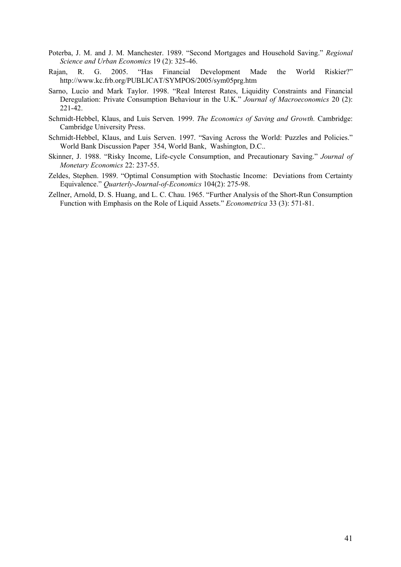- Poterba, J. M. and J. M. Manchester. 1989. "Second Mortgages and Household Saving." *Regional Science and Urban Economics* 19 (2): 325-46.
- Rajan, R. G. 2005. "Has Financial Development Made the World Riskier?" http://www.kc.frb.org/PUBLICAT/SYMPOS/2005/sym05prg.htm
- Sarno, Lucio and Mark Taylor. 1998. "Real Interest Rates, Liquidity Constraints and Financial Deregulation: Private Consumption Behaviour in the U.K." *Journal of Macroeconomics* 20 (2): 221-42.
- Schmidt-Hebbel, Klaus, and Luis Serven*.* 1999. *The Economics of Saving and Growth.* Cambridge: Cambridge University Press.
- Schmidt-Hebbel, Klaus, and Luis Serven. 1997. "Saving Across the World: Puzzles and Policies." World Bank Discussion Paper 354, World Bank, Washington, D.C..
- Skinner, J. 1988. "Risky Income, Life-cycle Consumption, and Precautionary Saving." *Journal of Monetary Economics* 22: 237-55.
- Zeldes, Stephen. 1989. "Optimal Consumption with Stochastic Income: Deviations from Certainty Equivalence." *Quarterly-Journal-of-Economics* 104(2): 275-98.
- Zellner, Arnold, D. S. Huang, and L. C. Chau. 1965. "Further Analysis of the Short-Run Consumption Function with Emphasis on the Role of Liquid Assets." *Econometrica* 33 (3): 571-81.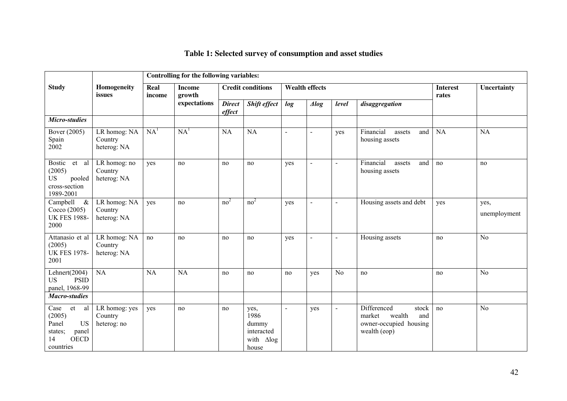|                                                                                                        |                                         |                                           | Controlling for the following variables: |                                                   |                                                                      |                |                          |                |                                                                                           |             |                      |
|--------------------------------------------------------------------------------------------------------|-----------------------------------------|-------------------------------------------|------------------------------------------|---------------------------------------------------|----------------------------------------------------------------------|----------------|--------------------------|----------------|-------------------------------------------------------------------------------------------|-------------|----------------------|
| <b>Study</b>                                                                                           | Homogeneity<br>issues                   | Real<br><b>Income</b><br>growth<br>income |                                          | <b>Credit conditions</b><br><b>Wealth effects</b> |                                                                      |                |                          |                | <b>Interest</b><br>rates                                                                  | Uncertainty |                      |
|                                                                                                        |                                         |                                           | expectations                             | <b>Direct</b><br>effect                           | <b>Shift effect</b>                                                  | log            | $\triangle$ <i>log</i>   | level          | disaggregation                                                                            |             |                      |
| Micro-studies                                                                                          |                                         |                                           |                                          |                                                   |                                                                      |                |                          |                |                                                                                           |             |                      |
| Bover (2005)<br>Spain<br>2002                                                                          | LR homog: NA<br>Country<br>heterog: NA  | NA <sup>1</sup>                           | NA <sup>1</sup>                          | <b>NA</b>                                         | <b>NA</b>                                                            | $\blacksquare$ | $\overline{\phantom{a}}$ | yes            | Financial<br>and<br>assets<br>housing assets                                              | <b>NA</b>   | <b>NA</b>            |
| Bostic et al<br>(2005)<br><b>US</b><br>pooled<br>cross-section<br>1989-2001                            | LR homog: no<br>Country<br>heterog: NA  | yes                                       | no                                       | no                                                | no                                                                   | yes            | $\sim$                   | $\blacksquare$ | Financial<br>and<br>assets<br>housing assets                                              | no          | no                   |
| Campbell<br>$\&$<br>Cocco (2005)<br><b>UK FES 1988-</b><br>2000                                        | LR homog: NA<br>Country<br>heterog: NA  | yes                                       | no                                       | no <sup>2</sup>                                   | no <sup>2</sup>                                                      | yes            | $\overline{a}$           | $\blacksquare$ | Housing assets and debt                                                                   | yes         | yes,<br>unemployment |
| Attanasio et al<br>(2005)<br><b>UK FES 1978-</b><br>2001                                               | LR homog: NA<br>Country<br>heterog: NA  | no                                        | no                                       | no                                                | no                                                                   | yes            | $\sim$                   | $\blacksquare$ | Housing assets                                                                            | no          | N <sub>o</sub>       |
| Lehnert $(2004)$<br><b>PSID</b><br><b>US</b><br>panel, 1968-99                                         | <b>NA</b>                               | NA                                        | <b>NA</b>                                | no                                                | no                                                                   | no             | yes                      | N <sub>0</sub> | no                                                                                        | no          | N <sub>o</sub>       |
| <b>Macro-studies</b>                                                                                   |                                         |                                           |                                          |                                                   |                                                                      |                |                          |                |                                                                                           |             |                      |
| et<br>Case<br>al<br>(2005)<br><b>US</b><br>Panel<br>panel<br>states;<br><b>OECD</b><br>14<br>countries | LR homog: yes<br>Country<br>heterog: no | yes                                       | no                                       | no                                                | yes,<br>1986<br>dummy<br>interacted<br>with $\triangle$ log<br>house | $\blacksquare$ | yes                      | $\blacksquare$ | Differenced<br>stock<br>wealth<br>market<br>and<br>owner-occupied housing<br>wealth (eop) | no          | No                   |

## **Table 1: Selected survey of consumption and asset studies**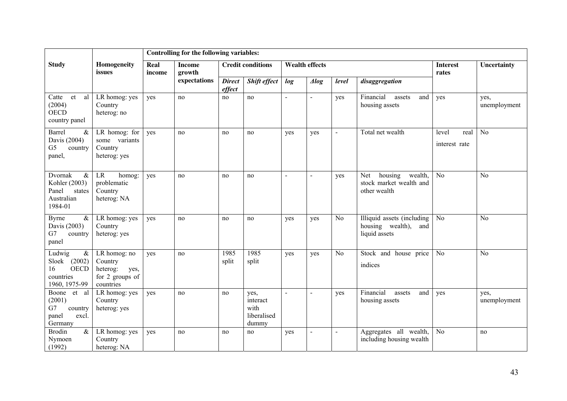|                                                                                      |                                                                             |                | Controlling for the following variables: |                         |                                                  |                |                         |                |                                                                        |                                |                      |
|--------------------------------------------------------------------------------------|-----------------------------------------------------------------------------|----------------|------------------------------------------|-------------------------|--------------------------------------------------|----------------|-------------------------|----------------|------------------------------------------------------------------------|--------------------------------|----------------------|
| <b>Study</b>                                                                         | Homogeneity<br>issues                                                       | Real<br>income | <b>Income</b><br>growth                  |                         | <b>Credit conditions</b>                         |                | Wealth effects          |                |                                                                        | <b>Interest</b><br>rates       | Uncertainty          |
|                                                                                      |                                                                             |                | expectations                             | <b>Direct</b><br>effect | Shift effect                                     | log            | $\triangle$ <i>llog</i> | level          | disaggregation                                                         |                                |                      |
| Catte<br>et<br>al<br>(2004)<br><b>OECD</b><br>country panel                          | LR homog: yes<br>Country<br>heterog: no                                     | yes            | no                                       | no                      | no                                               | $\blacksquare$ | $\blacksquare$          | yes            | Financial<br>and<br>assets<br>housing assets                           | yes                            | yes,<br>unemployment |
| Barrel<br>$\&$<br>Davis (2004)<br>G <sub>5</sub><br>country<br>panel,                | $LR$ homog: for<br>some variants<br>Country<br>heterog: yes                 | yes            | no                                       | no                      | no                                               | yes            | yes                     |                | Total net wealth                                                       | level<br>real<br>interest rate | N <sub>0</sub>       |
| Dvornak<br>$\&$<br>Kohler (2003)<br>Panel<br>states<br>Australian<br>1984-01         | <b>LR</b><br>homog:<br>problematic<br>Country<br>heterog: NA                | yes            | no                                       | no                      | no                                               | $\overline{a}$ | $\sim$                  | yes            | housing<br>wealth,<br>Net<br>stock market wealth and<br>other wealth   | N <sub>0</sub>                 | N <sub>o</sub>       |
| $\&$<br>Byrne<br>Davis (2003)<br>G7<br>country<br>panel                              | LR homog: yes<br>Country<br>heterog: yes                                    | yes            | no                                       | no                      | no                                               | yes            | yes                     | N <sub>o</sub> | Illiquid assets (including<br>housing wealth),<br>and<br>liquid assets | No                             | N <sub>o</sub>       |
| Ludwig<br>$\&$<br>(2002)<br>Sloek<br><b>OECD</b><br>16<br>countries<br>1960, 1975-99 | LR homog: no<br>Country<br>heterog:<br>yes,<br>for 2 groups of<br>countries | yes            | no                                       | 1985<br>split           | 1985<br>split                                    | yes            | yes                     | N <sub>o</sub> | Stock and house price<br>indices                                       | N <sub>o</sub>                 | $\overline{No}$      |
| Boone et al<br>(2001)<br>G7<br>country<br>panel<br>excl.<br>Germany                  | LR homog: yes<br>Country<br>heterog: yes                                    | yes            | no                                       | no                      | yes,<br>interact<br>with<br>liberalised<br>dummy | $\sim$         | $\sim$                  | yes            | Financial<br>assets<br>and<br>housing assets                           | yes                            | yes,<br>unemployment |
| <b>Brodin</b><br>$\&$<br>Nymoen<br>(1992)                                            | LR homog: yes<br>Country<br>heterog: NA                                     | yes            | no                                       | no                      | no                                               | yes            |                         |                | Aggregates all wealth,<br>including housing wealth                     | N <sub>0</sub>                 | no                   |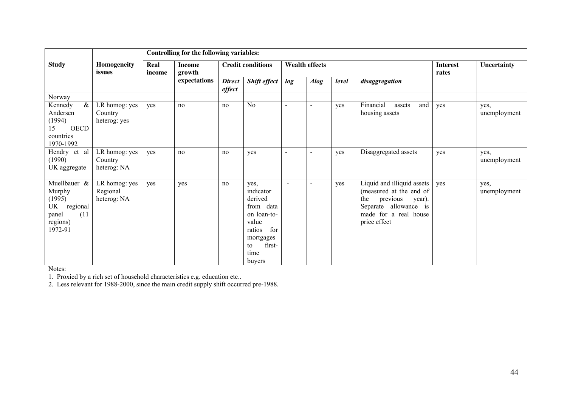|                                                                                            |                                          | Controlling for the following variables: |                         |                         |                                                                                                                                   |                |                          |       |                                                                                                                                                      |                          |                      |
|--------------------------------------------------------------------------------------------|------------------------------------------|------------------------------------------|-------------------------|-------------------------|-----------------------------------------------------------------------------------------------------------------------------------|----------------|--------------------------|-------|------------------------------------------------------------------------------------------------------------------------------------------------------|--------------------------|----------------------|
| <b>Study</b>                                                                               | Homogeneity<br>issues                    | Real<br>income                           | <b>Income</b><br>growth |                         | <b>Credit conditions</b>                                                                                                          |                | <b>Wealth effects</b>    |       |                                                                                                                                                      | <b>Interest</b><br>rates | Uncertainty          |
|                                                                                            |                                          |                                          | expectations            | <b>Direct</b><br>effect | <b>Shift effect</b>                                                                                                               | log            | $\triangle$ <i>llog</i>  | level | disaggregation                                                                                                                                       |                          |                      |
| Norway                                                                                     |                                          |                                          |                         |                         |                                                                                                                                   |                |                          |       |                                                                                                                                                      |                          |                      |
| $\&$<br>Kennedy<br>Andersen<br>(1994)<br><b>OECD</b><br>15<br>countries<br>1970-1992       | LR homog: yes<br>Country<br>heterog: yes | yes                                      | no                      | no                      | N <sub>0</sub>                                                                                                                    | $\blacksquare$ | $\overline{\phantom{a}}$ | yes   | Financial<br>and<br>assets<br>housing assets                                                                                                         | yes                      | yes,<br>unemployment |
| Hendry et al<br>(1990)<br>UK aggregate                                                     | LR homog: yes<br>Country<br>heterog: NA  | yes                                      | no                      | no                      | yes                                                                                                                               | $\blacksquare$ | $\blacksquare$           | yes   | Disaggregated assets                                                                                                                                 | yes                      | yes,<br>unemployment |
| Muellbauer $\&$<br>Murphy<br>(1995)<br>UK regional<br>(11)<br>panel<br>regions)<br>1972-91 | LR homog: yes<br>Regional<br>heterog: NA | yes                                      | yes                     | no                      | yes,<br>indicator<br>derived<br>from data<br>on loan-to-<br>value<br>for<br>ratios<br>mortgages<br>first-<br>to<br>time<br>buyers | $\sim$         |                          | yes   | Liquid and illiquid assets<br>(measured at the end of<br>previous<br>the<br>year).<br>Separate allowance is<br>made for a real house<br>price effect | yes                      | yes,<br>unemployment |

Notes:

1. Proxied by a rich set of household characteristics e.g. education etc..

2. Less relevant for 1988-2000, since the main credit supply shift occurred pre-1988.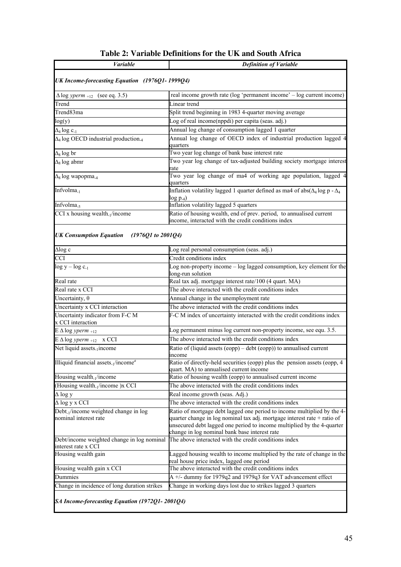| <b>Variable</b>                                                            | <b>Definition of Variable</b>                                                                                                                                                                                                                                                    |
|----------------------------------------------------------------------------|----------------------------------------------------------------------------------------------------------------------------------------------------------------------------------------------------------------------------------------------------------------------------------|
| UK Income-forecasting Equation (1976Q1-1999Q4)                             |                                                                                                                                                                                                                                                                                  |
| $\Delta \log yperm$ <sub>+12</sub> (see eq. 3.5)                           | real income growth rate (log 'permanent income' - log current income)                                                                                                                                                                                                            |
| Trend                                                                      | Linear trend                                                                                                                                                                                                                                                                     |
| Trend83ma                                                                  | Split trend beginning in 1983 4-quarter moving average                                                                                                                                                                                                                           |
| log(y)                                                                     | Log of real income(nppdi) per capita (seas. adj.)                                                                                                                                                                                                                                |
| $\Delta_4 \log c_{-1}$                                                     | Annual log change of consumption lagged 1 quarter                                                                                                                                                                                                                                |
| $\Delta_4$ log OECD industrial production <sub>-4</sub>                    | Annual log change of OECD index of industrial production lagged 4<br>quarters                                                                                                                                                                                                    |
| $\Delta_8 \log br$                                                         | Two year log change of bank base interest rate                                                                                                                                                                                                                                   |
| $\Delta_8 \log$ abmr                                                       | Two year log change of tax-adjusted building society mortgage interest<br>rate                                                                                                                                                                                                   |
| $\Delta_8$ log wapopma <sub>-4</sub>                                       | Two year log change of ma4 of working age population, lagged 4<br>quarters                                                                                                                                                                                                       |
| Infvolma <sub>-1</sub>                                                     | Inflation volatility lagged 1 quarter defined as ma4 of abs( $\Delta_4$ log p - $\Delta_4$<br>$log p_4)$                                                                                                                                                                         |
| Infvolma <sub>-5</sub>                                                     | Inflation volatility lagged 5 quarters                                                                                                                                                                                                                                           |
| CCI x housing wealth <sub>-1</sub> /income                                 | Ratio of housing wealth, end of prev. period, to annualised current<br>income, interacted with the credit conditions index                                                                                                                                                       |
| <b>UK Consumption Equation</b><br>(1976Q1 to 2001Q4)                       |                                                                                                                                                                                                                                                                                  |
| $\Delta$ log c                                                             | Log real personal consumption (seas. adj.)                                                                                                                                                                                                                                       |
| <b>CCI</b>                                                                 | Credit conditions index                                                                                                                                                                                                                                                          |
| $log y - log c_{-1}$                                                       | Log non-property income – log lagged consumption, key element for the<br>long-run solution                                                                                                                                                                                       |
| Real rate                                                                  | Real tax adj. mortgage interest rate/100 (4 quart. MA)                                                                                                                                                                                                                           |
| Real rate x CCI                                                            | The above interacted with the credit conditions index                                                                                                                                                                                                                            |
| Uncertainty, $\theta$                                                      | Annual change in the unemployment rate                                                                                                                                                                                                                                           |
| Uncertainty x CCI interaction                                              | The above interacted with the credit conditions index                                                                                                                                                                                                                            |
| Uncertainty indicator from F-C M<br>x CCI interaction                      | F-C M index of uncertainty interacted with the credit conditions index                                                                                                                                                                                                           |
| $E \Delta \log y$ perm +12                                                 | Log permanent minus log current non-property income, see equ. 3.5.                                                                                                                                                                                                               |
| $E \Delta \log yperm +12$ x CCI                                            | The above interacted with the credit conditions index                                                                                                                                                                                                                            |
| Net liquid assets <sub>-1</sub> income                                     | Ratio of (liquid assets (eopp) – debt (eopp)) to annualised current<br>income                                                                                                                                                                                                    |
| Illiquid financial assets $\frac{1}{\text{income}}$ <sup>a</sup>           | Ratio of directly-held securities (eopp) plus the pension assets (eopp, 4<br>quart. MA) to annualised current income                                                                                                                                                             |
| Housing wealth <sub>-1</sub> /income                                       | Ratio of housing wealth (eopp) to annualised current income                                                                                                                                                                                                                      |
| (Housing wealth <sub>-1</sub> /income) x CCI                               | The above interacted with the credit conditions index                                                                                                                                                                                                                            |
| ∆ log y                                                                    | Real income growth (seas. Adj.)                                                                                                                                                                                                                                                  |
| $\Delta$ log y x CCI                                                       | The above interacted with the credit conditions index                                                                                                                                                                                                                            |
| Debt <sub>-1</sub> /income weighted change in log<br>nominal interest rate | Ratio of mortgage debt lagged one period to income multiplied by the 4-<br>quarter change in log nominal tax adj. mortgage interest rate $+$ ratio of<br>unsecured debt lagged one period to income multiplied by the 4-quarter<br>change in log nominal bank base interest rate |
| Debt/income weighted change in log nominal<br>interest rate x CCI          | The above interacted with the credit conditions index                                                                                                                                                                                                                            |
| Housing wealth gain                                                        | Lagged housing wealth to income multiplied by the rate of change in the<br>real house price index, lagged one period                                                                                                                                                             |
| Housing wealth gain x CCI                                                  | The above interacted with the credit conditions index                                                                                                                                                                                                                            |
| Dummies                                                                    | A +/- dummy for 1979q2 and 1979q3 for VAT advancement effect                                                                                                                                                                                                                     |
| Change in incidence of long duration strikes                               | Change in working days lost due to strikes lagged 3 quarters                                                                                                                                                                                                                     |
| SA Income-forecasting Equation (1972Q1-2001Q4)                             |                                                                                                                                                                                                                                                                                  |

## **Table 2: Variable Definitions for the UK and South Africa**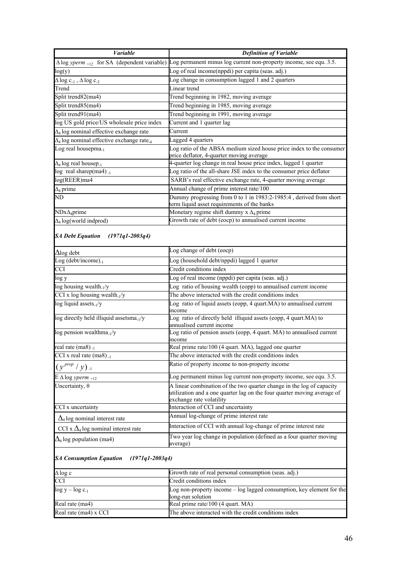| <b>Variable</b>                                              | <b>Definition of Variable</b>                                                                                                                                                |
|--------------------------------------------------------------|------------------------------------------------------------------------------------------------------------------------------------------------------------------------------|
|                                                              | $\Delta \log y$ perm <sub>+12</sub> for SA (dependent variable) Log permanent minus log current non-property income, see equ. 3.5.                                           |
| log(y)                                                       | Log of real income(nppdi) per capita (seas. adj.)                                                                                                                            |
| $\Delta$ log c <sub>-1</sub> , $\Delta$ log c <sub>-2</sub>  | Log change in consumption lagged 1 and 2 quarters                                                                                                                            |
| Trend                                                        | Linear trend                                                                                                                                                                 |
| Split trend82(ma4)                                           | Trend beginning in 1982, moving average                                                                                                                                      |
| Split trend85(ma4)                                           | Trend beginning in 1985, moving average                                                                                                                                      |
| Split trend91(ma4)                                           | Trend beginning in 1991, moving average                                                                                                                                      |
| log US gold price/US wholesale price index                   | Current and 1 quarter lag                                                                                                                                                    |
| $\Delta_4$ log nominal effective exchange rate               | Current                                                                                                                                                                      |
| $\Delta_4$ log nominal effective exchange rate <sub>-4</sub> | Lagged 4 quarters                                                                                                                                                            |
| Log real housepma <sub>-1</sub>                              | Log ratio of the ABSA medium sized house price index to the consumer<br>price deflator, 4-quarter moving average                                                             |
| $\Delta_4$ log real housep <sub>-1</sub>                     | 4-quarter log change in real house price index, lagged 1 quarter                                                                                                             |
| $\log$ real sharep(ma4).                                     | Log ratio of the all-share JSE index to the consumer price deflator                                                                                                          |
| log(REER)ma4                                                 | SARB's real effective exchange rate, 4-quarter moving average                                                                                                                |
| $\Delta_4$ prime                                             | Annual change of prime interest rate/100                                                                                                                                     |
| ND                                                           | Dummy progressing from 0 to 1 in 1983:2-1985:4, derived from short<br>term liquid asset requirements of the banks                                                            |
| $NDx\Delta_4$ prime                                          | Monetary regime shift dummy $x \Delta_4$ prime                                                                                                                               |
| $\Delta_4$ log(world indprod)                                | Growth rate of debt (eocp) to annualised current income                                                                                                                      |
| <b>SA Debt Equation</b><br>$(1971q1 - 2003q4)$               |                                                                                                                                                                              |
| $\Delta$ log debt                                            | Log change of debt (eocp)                                                                                                                                                    |
| Log (debt/income). $_1$                                      | Log (household debt/nppdi) lagged 1 quarter                                                                                                                                  |
| <b>CCI</b>                                                   | Credit conditions index                                                                                                                                                      |
| log y                                                        | Log of real income (nppdi) per capita (seas. adj.)                                                                                                                           |
| log housing wealth <sub>-1</sub> /y                          | Log ratio of housing wealth (eopp) to annualised current income                                                                                                              |
| CCI x log housing wealth $1/y$                               | The above interacted with the credit conditions index                                                                                                                        |
| $log$ liquid assets <sub>-1</sub> /y                         | Log ratio of liquid assets (eopp, 4 quart.MA) to annualised current<br>income                                                                                                |
| log directly held illiquid assetsma <sub>-1</sub> /y         | Log ratio of directly held illiquid assets (eopp, 4 quart.MA) to<br>annualised current income                                                                                |
| $log$ pension wealthma <sub>-1</sub> /y                      | Log ratio of pension assets (eopp, 4 quart. MA) to annualised current<br>income                                                                                              |
| real rate $(ma8)_{-1}$                                       | Real prime rate/100 (4 quart. MA), lagged one quarter                                                                                                                        |
| CCI x real rate $(ma8)_{-1}$                                 | The above interacted with the credit conditions index                                                                                                                        |
| $(y^{prop}/y)_{-1}$                                          | Ratio of property income to non-property income                                                                                                                              |
| $E \Delta \log yperm$ <sub>+12</sub>                         | Log permanent minus log current non-property income, see equ. 3.5.                                                                                                           |
| Uncertainty, $\theta$                                        | A linear combination of the two quarter change in the log of capacity<br>utilization and a one quarter lag on the four quarter moving average of<br>exchange rate volatility |
| CCI x uncertainty                                            | Interaction of CCI and uncertainty                                                                                                                                           |
| $\Delta_4$ log nominal interest rate                         | Annual log-change of prime interest rate                                                                                                                                     |
| CCI x $\Delta_4$ log nominal interest rate                   | Interaction of CCI with annual log-change of prime interest rate                                                                                                             |
| $\Delta_8$ log population (ma4)                              | Two year log change in population (defined as a four quarter moving<br>average)                                                                                              |
| <b>SA Consumption Equation</b><br>$(1971q1 - 2003q4)$        |                                                                                                                                                                              |
| ∆ log c                                                      | Growth rate of real personal consumption (seas. adj.)                                                                                                                        |

| ⊢.ം -                  |                                                                                              |
|------------------------|----------------------------------------------------------------------------------------------|
| <b>CCI</b>             | Credit conditions index                                                                      |
| $\log y - \log c_{-1}$ | Log non-property income $-\log$ lagged consumption, key element for the<br>long-run solution |
| Real rate (ma4)        | Real prime rate/100 (4 quart. MA)                                                            |
| Real rate (ma4) x CCI  | The above interacted with the credit conditions index                                        |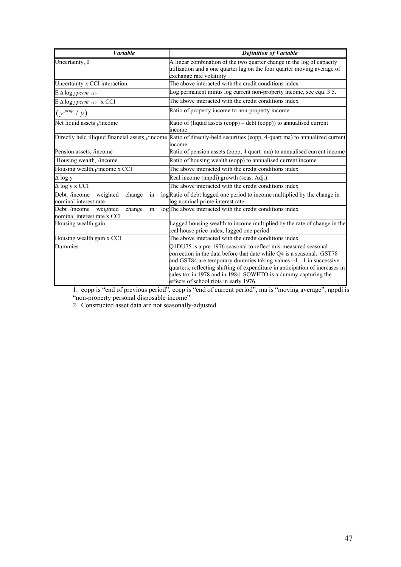| <b>Variable</b>                                                                 | <b>Definition of Variable</b>                                                                                                                                                                                                                                                                                                                                                                                  |
|---------------------------------------------------------------------------------|----------------------------------------------------------------------------------------------------------------------------------------------------------------------------------------------------------------------------------------------------------------------------------------------------------------------------------------------------------------------------------------------------------------|
| Uncertainty, $\theta$                                                           | A linear combination of the two quarter change in the log of capacity<br>utilization and a one quarter lag on the four quarter moving average of<br>exchange rate volatility                                                                                                                                                                                                                                   |
| Uncertainty x CCI interaction                                                   | The above interacted with the credit conditions index                                                                                                                                                                                                                                                                                                                                                          |
| $E \Delta \log y$ perm +12                                                      | Log permanent minus log current non-property income, see equ. 3.5.                                                                                                                                                                                                                                                                                                                                             |
| $E \Delta \log yperm +12$ x CCI                                                 | The above interacted with the credit conditions index                                                                                                                                                                                                                                                                                                                                                          |
| $(y^{prop}/y)$                                                                  | Ratio of property income to non-property income                                                                                                                                                                                                                                                                                                                                                                |
| Net liquid assets <sub>-1</sub> /income                                         | Ratio of (liquid assets (eopp) – debt (eopp)) to annualised current<br>income                                                                                                                                                                                                                                                                                                                                  |
|                                                                                 | Directly held illiquid financial assets. <sub>1</sub> /income Ratio of directly-held securities (eopp, 4-quart ma) to annualized current<br>income                                                                                                                                                                                                                                                             |
| Pension assets <sub>-1</sub> /income                                            | Ratio of pension assets (eopp, 4 quart. ma) to annualised current income                                                                                                                                                                                                                                                                                                                                       |
| Housing wealth <sub>-1</sub> /income                                            | Ratio of housing wealth (eopp) to annualised current income                                                                                                                                                                                                                                                                                                                                                    |
| Housing wealth <sub>1</sub> /income x CCI                                       | The above interacted with the credit conditions index                                                                                                                                                                                                                                                                                                                                                          |
| $\Delta$ log y                                                                  | Real income (nnpdi) growth (seas. Adj.)                                                                                                                                                                                                                                                                                                                                                                        |
| $\Delta$ log y x CCI                                                            | The above interacted with the credit conditions index                                                                                                                                                                                                                                                                                                                                                          |
| Debt <sub>-1</sub> /income<br>weighted<br>in<br>change<br>nominal interest rate | logRatio of debt lagged one period to income multiplied by the change in<br>log nominal prime interest rate                                                                                                                                                                                                                                                                                                    |
| weighted<br>$Debt_1/income$<br>change<br>in<br>nominal interest rate x CCI      | logThe above interacted with the credit conditions index                                                                                                                                                                                                                                                                                                                                                       |
| Housing wealth gain                                                             | Lagged housing wealth to income multiplied by the rate of change in the<br>real house price index, lagged one period                                                                                                                                                                                                                                                                                           |
| Housing wealth gain x CCI                                                       | The above interacted with the credit conditions index                                                                                                                                                                                                                                                                                                                                                          |
| Dummies                                                                         | Q1DU75 is a pre-1976 seasonal to reflect mis-measured seasonal<br>correction in the data before that date while Q4 is a seasonal. GST78<br>and GST84 are temporary dummies taking values $+1$ , $-1$ in successive<br>quarters, reflecting shifting of expenditure in anticipation of increases in<br>sales tax in 1978 and in 1984. SOWETO is a dummy capturing the<br>effects of school riots in early 1976. |

1. eopp is "end of previous period", eocp is "end of current period", ma is "moving average", nppdi is "non-property personal disposable income"

2. Constructed asset data are not seasonally-adjusted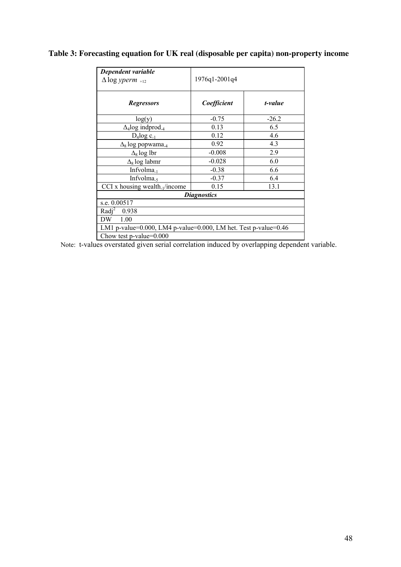# **Table 3: Forecasting equation for UK real (disposable per capita) non-property income**

| Dependent variable                                                         |                    |         |
|----------------------------------------------------------------------------|--------------------|---------|
| $\Delta$ log yperm <sub>+12</sub>                                          | 1976q1-2001q4      |         |
|                                                                            |                    |         |
| <b>Regressors</b>                                                          | Coefficient        | t-value |
| log(y)                                                                     | $-0.75$            | $-26.2$ |
| $\Delta_4$ log indprod <sub>-4</sub>                                       | 0.13               | 6.5     |
| $D_4$ log $c_{-1}$                                                         | 0.12               | 4.6     |
| $\Delta_8$ log popwama <sub>-4</sub>                                       | 0.92               | 4.3     |
| $\Delta_8$ log lbr                                                         | $-0.008$           | 2.9     |
| $\Delta_8$ log labmr                                                       | $-0.028$           | 6.0     |
| Infvolma $_{-1}$                                                           | $-0.38$            | 6.6     |
| Infvolma <sub>5</sub>                                                      | $-0.37$            | 6.4     |
| CCI x housing wealth. $1$ /income                                          | 0.15               | 13.1    |
|                                                                            | <b>Diagnostics</b> |         |
| s.e. 0.00517                                                               |                    |         |
| Radi <sup>2</sup><br>0.938                                                 |                    |         |
| 1.00<br>DW.                                                                |                    |         |
| LM1 p-value= $0.000$ , LM4 p-value= $0.000$ , LM het. Test p-value= $0.46$ |                    |         |
| Chow test p-value=0.000                                                    |                    |         |

Note: t-values overstated given serial correlation induced by overlapping dependent variable.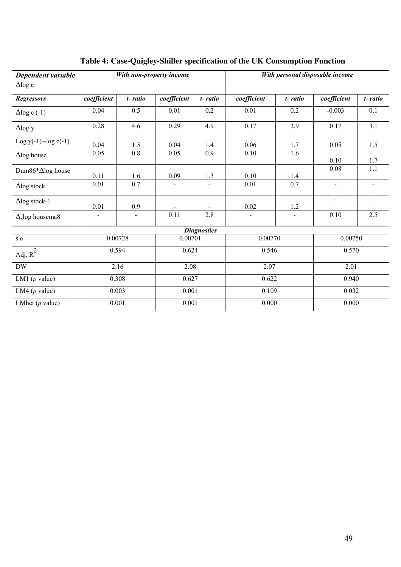| Dependent variable                 |                   |                | With non-property income |                    |             |                   | With personal disposable income |                |
|------------------------------------|-------------------|----------------|--------------------------|--------------------|-------------|-------------------|---------------------------------|----------------|
| $\Delta$ log c                     |                   |                |                          |                    |             |                   |                                 |                |
| <b>Regressors</b>                  | coefficient       | t-ratio        | coefficient              | t-ratio            | coefficient | t-ratio           | coefficient                     | t-ratio        |
| $\Delta$ log c (-1)                | 0.04              | 0.5            | 0.01                     | 0.2                | 0.01        | 0.2               | $-0.003$                        | 0.1            |
| $\Delta$ log y                     | 0.28              | 4.6            | 0.29                     | 4.9                | 0.17        | 2.9               | 0.17                            | 3.1            |
| Log $y(-1)$ -log $c(-1)$           | 0.04              | 1.5            | 0.04                     | 1.4                | 0.06        | 1.7               | 0.05                            | 1.5            |
| $\Delta$ log house                 | 0.05              | 0.8            | 0.05                     | 0.9                | 0.10        | 1.6               | 0.10                            | 1.7            |
| Dum86*∆log house                   | 0.11              | 1.6            | 0.09                     | 1.3                | 0.10        | $\frac{1.4}{0.7}$ | 0.08                            | 1.1            |
| $\Delta$ log stock                 | $\overline{0.01}$ | 0.7            | $\mathbf{r}$             |                    | 0.01        |                   | $\overline{a}$                  | $\blacksquare$ |
| $\Delta$ log stock-1               | 0.01              | 0.9            |                          |                    | 0.02        | 1.2               | $\blacksquare$                  | $\sim$         |
| $\Delta$ <sub>8</sub> log housema8 |                   | $\blacksquare$ | 0.11                     | 2.8                |             |                   | 0.10                            | 2.5            |
|                                    |                   |                |                          | <b>Diagnostics</b> |             |                   |                                 |                |
| s.e                                | 0.00728           |                | 0.00701                  |                    | 0.00770     |                   | 0.00750                         |                |
| Adj. $R^2$                         | 0.594             |                | 0.624                    |                    | 0.546       |                   | 0.570                           |                |
| <b>DW</b>                          | 2.16              |                | 2.08                     |                    | 2.07        |                   | 2.01                            |                |
| LM1 $(p$ value)                    | 0.308             |                | 0.627                    |                    | 0.622       |                   | 0.940                           |                |
| LM4 $(p$ value)                    | 0.003             |                | 0.001                    |                    | 0.109       |                   | 0.032                           |                |
| LMhet $(p$ value)                  | 0.001             |                | 0.001                    |                    | 0.000       |                   | 0.000                           |                |

# **Table 4: Case-Quigley-Shiller specification of the UK Consumption Function**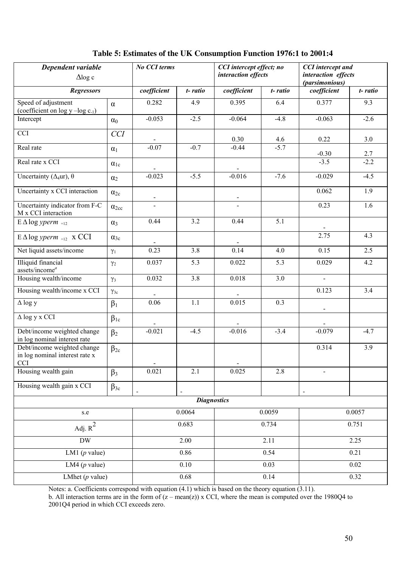| Dependent variable<br>$\Delta$ log c                                        |                | No CCI terms   |                          | CCI intercept effect; no<br>interaction effects |         | <b>CCI</b> intercept and<br>interaction effects<br>(parsimonious) |         |  |
|-----------------------------------------------------------------------------|----------------|----------------|--------------------------|-------------------------------------------------|---------|-------------------------------------------------------------------|---------|--|
| <b>Regressors</b>                                                           |                | coefficient    | t-ratio                  | coefficient                                     | t-ratio | coefficient                                                       | t-ratio |  |
| Speed of adjustment<br>(coefficient on $log y - log c_{-1}$ )               | $\alpha$       | 0.282          | 4.9                      | 0.395                                           | 6.4     | 0.377                                                             | 9.3     |  |
| Intercept                                                                   | $\alpha_0$     | $-0.053$       | $-2.5$                   | $-0.064$                                        | $-4.8$  | $-0.063$                                                          | $-2.6$  |  |
| $\overline{CCI}$                                                            | <b>CCI</b>     |                |                          | 0.30                                            | 4.6     | 0.22                                                              | $3.0$   |  |
| Real rate                                                                   | $\alpha_1$     | $-0.07$        | $-0.7$                   | $-0.44$                                         | $-5.7$  | $-0.30$                                                           | 2.7     |  |
| Real rate x CCI                                                             | $\alpha_{1c}$  |                |                          |                                                 |         | $-3.5$                                                            | $-2.2$  |  |
| Uncertainty ( $\Delta_4$ ur), $\theta$                                      | $\alpha_2$     | $-0.023$       | $-5.5$                   | $-0.016$                                        | $-7.6$  | $-0.029$                                                          | $-4.5$  |  |
| Uncertainty x CCI interaction                                               | $\alpha_{2c}$  | $\blacksquare$ |                          |                                                 |         | 0.062                                                             | 1.9     |  |
| Uncertainty indicator from F-C<br>M x CCI interaction                       | $\alpha_{2cc}$ |                |                          |                                                 |         | 0.23                                                              | 1.6     |  |
| $E \Delta \log yperm$ <sub>+12</sub>                                        | $\alpha_3$     | 0.44           | 3.2                      | 0.44                                            | 5.1     |                                                                   |         |  |
| $E \Delta \log yperm$ <sub>+12</sub> x CCI                                  | $\alpha_{3c}$  |                |                          |                                                 |         | 2.75                                                              | 4.3     |  |
| Net liquid assets/income                                                    | $\gamma_1$     | 0.23           | $\overline{3.8}$         | 0.14                                            | 4.0     | 0.15                                                              | 2.5     |  |
| <b>Illiquid</b> financial<br>assets/income <sup>a</sup>                     | $\gamma_2$     | 0.037          | 5.3                      | 0.022                                           | 5.3     | 0.029                                                             | 4.2     |  |
| Housing wealth/income                                                       | $\gamma_3$     | 0.032          | 3.8                      | 0.018                                           | 3.0     | $\qquad \qquad \blacksquare$                                      |         |  |
| Housing wealth/income x CCI                                                 | $\gamma_{3c}$  |                |                          |                                                 |         | 0.123                                                             | 3.4     |  |
| $\Delta$ log y                                                              | $\beta_1$      | 0.06           | 1.1                      | 0.015                                           | 0.3     | $\overline{a}$                                                    |         |  |
| $\Delta$ log y x CCI                                                        | $\beta_{1c}$   |                |                          |                                                 |         |                                                                   |         |  |
| Debt/income weighted change<br>in log nominal interest rate                 | $\beta_2$      | $-0.021$       | $-4.5$                   | $-0.016$                                        | $-3.4$  | $-0.079$                                                          | $-4.7$  |  |
| Debt/income weighted change<br>in log nominal interest rate x<br><b>CCI</b> | $\beta_{2c}$   |                |                          |                                                 |         | 0.314                                                             | 3.9     |  |
| Housing wealth gain                                                         | $\beta_3$      | 0.021          | 2.1                      | 0.025                                           | 2.8     |                                                                   |         |  |
| Housing wealth gain x CCI                                                   | $\beta_{3c}$   | $\frac{1}{2}$  | $\overline{\phantom{a}}$ |                                                 |         | $\overline{\phantom{a}}$                                          |         |  |
|                                                                             |                |                |                          | <b>Diagnostics</b>                              |         |                                                                   |         |  |
| s.e                                                                         |                |                | 0.0064                   |                                                 | 0.0059  |                                                                   | 0.0057  |  |
| Adj. $R^2$                                                                  |                |                | 0.683                    |                                                 | 0.734   |                                                                   | 0.751   |  |
| DW                                                                          |                |                | 2.00                     |                                                 | 2.11    |                                                                   | 2.25    |  |
| LM1 $(p$ value)                                                             |                |                | 0.86                     |                                                 | 0.54    |                                                                   | 0.21    |  |
| LM4 ( $p$ value)                                                            |                |                | 0.10                     |                                                 | 0.03    |                                                                   | 0.02    |  |
| LMhet $(p$ value)                                                           |                |                | 0.68                     |                                                 | 0.14    |                                                                   | 0.32    |  |

### **Table 5: Estimates of the UK Consumption Function 1976:1 to 2001:4**

Notes: a. Coefficients correspond with equation (4.1) which is based on the theory equation (3.11). b. All interaction terms are in the form of  $(z - \text{mean}(z))$  x CCI, where the mean is computed over the 1980Q4 to 2001Q4 period in which CCI exceeds zero.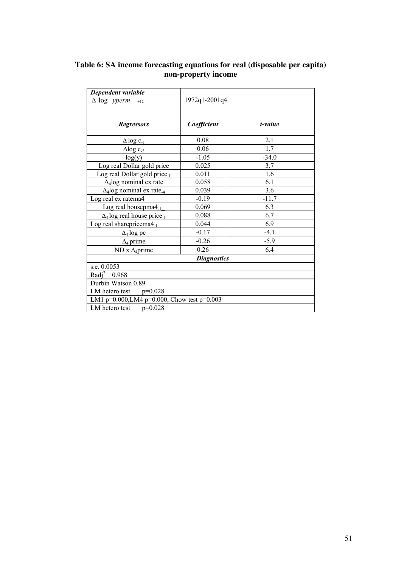| Dependent variable                                     |                    |         |  |  |
|--------------------------------------------------------|--------------------|---------|--|--|
| $\Delta$ log yperm<br>$+12$                            | 1972q1-2001q4      |         |  |  |
| <b>Regressors</b>                                      | Coefficient        | t-value |  |  |
| $\Delta$ log c <sub>-1</sub>                           | 0.08               | 2.1     |  |  |
| $\Delta$ log c <sub>-2</sub>                           | 0.06               | 1.7     |  |  |
| log(y)                                                 | $-1.05$            | $-34.0$ |  |  |
| Log real Dollar gold price                             | 0.025              | 3.7     |  |  |
| Log real Dollar gold price <sub>-1</sub>               | 0.011              | 1.6     |  |  |
| $\Delta_4$ log nominal ex rate                         | 0.058              | 6.1     |  |  |
| $\Delta_4$ log nominal ex rate <sub>-4</sub>           | 0.039              | 3.6     |  |  |
| Log real ex ratema4                                    | $-0.19$            | $-11.7$ |  |  |
| Log real housepma $4_{-1}$                             | 0.069              | 6.3     |  |  |
| $\Delta_4$ log real house price <sub>-1</sub>          | 0.088              | 6.7     |  |  |
| Log real sharepricema4.1                               | 0.044              | 6.9     |  |  |
| $\Delta_4$ log pc                                      | $-0.17$            | $-4.1$  |  |  |
| $\Delta_4$ prime                                       | $-0.26$            | $-5.9$  |  |  |
| $ND x \Delta_4 prime$                                  | 0.26               | 6.4     |  |  |
|                                                        | <b>Diagnostics</b> |         |  |  |
| s.e. 0.0053                                            |                    |         |  |  |
| Radi <sup>2</sup><br>0.968                             |                    |         |  |  |
| Durbin Watson 0.89                                     |                    |         |  |  |
| LM hetero test $p=0.028$                               |                    |         |  |  |
| LM1 p= $0.000$ , LM4 p= $0.000$ , Chow test p= $0.003$ |                    |         |  |  |
| LM hetero test<br>$p=0.028$                            |                    |         |  |  |

#### **Table 6: SA income forecasting equations for real (disposable per capita) non-property income**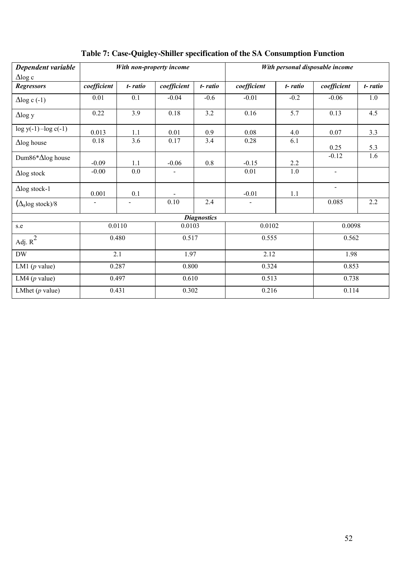| Dependent variable                      |                |                | With non-property income |                    |             |         | With personal disposable income |         |
|-----------------------------------------|----------------|----------------|--------------------------|--------------------|-------------|---------|---------------------------------|---------|
| $\Delta$ log c<br><b>Regressors</b>     | coefficient    | t-ratio        | coefficient              | t-ratio            | coefficient | t-ratio | coefficient                     | t-ratio |
|                                         |                |                |                          |                    |             |         |                                 |         |
| $\Delta$ log c (-1)                     | 0.01           | 0.1            | $-0.04$                  | $-0.6$             | $-0.01$     | $-0.2$  | $-0.06$                         | 1.0     |
| $\Delta$ log y                          | 0.22           | 3.9            | 0.18                     | 3.2                | 0.16        | 5.7     | 0.13                            | 4.5     |
| $log y(-1) - log c(-1)$                 | 0.013          | 1.1            | 0.01                     | 0.9                | 0.08        | 4.0     | 0.07                            | 3.3     |
| $\Delta$ log house                      | 0.18           | 3.6            | 0.17                     | 3.4                | 0.28        | 6.1     | 0.25                            | 5.3     |
| Dum86*∆log house                        | $-0.09$        | 1.1            | $-0.06$                  | 0.8                | $-0.15$     | 2.2     | $-0.12$                         | 1.6     |
| $\Delta$ log stock                      | $-0.00$        | 0.0            |                          |                    | 0.01        | 1.0     | $\blacksquare$                  |         |
| $\Delta$ log stock-1                    | 0.001          | 0.1            |                          |                    | $-0.01$     | 1.1     | $\overline{a}$                  |         |
| $(\Delta_{\rm s} \log \,{\rm stock})/8$ | $\overline{a}$ | $\blacksquare$ | 0.10                     | 2.4                |             |         | 0.085                           | 2.2     |
|                                         |                |                |                          | <b>Diagnostics</b> |             |         |                                 |         |
| s.e                                     | 0.0110         |                | 0.0103                   |                    | 0.0102      |         | 0.0098                          |         |
| Adj. $R^2$                              |                | 0.480          | 0.517                    |                    | 0.555       |         | 0.562                           |         |
| $\rm{DW}$                               | 2.1            |                | 1.97                     |                    | 2.12        |         | 1.98                            |         |
| LM1 $(p$ value)                         | 0.287          |                | 0.800                    |                    | 0.324       |         | 0.853                           |         |
| LM4 $(p$ value)                         | 0.497          |                | 0.610                    |                    | 0.513       |         | 0.738                           |         |
| LMhet $(p$ value)                       | 0.431          |                | 0.302                    |                    | 0.216       |         | 0.114                           |         |

# **Table 7: Case-Quigley-Shiller specification of the SA Consumption Function**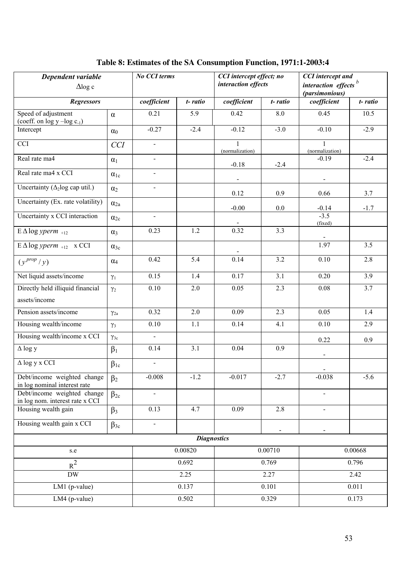| Dependent variable<br>$\Delta$ log c<br><b>Regressors</b>      |               | No CCI terms                |                  | CCI intercept effect; no<br>interaction effects |                          | <b>CCI</b> intercept and<br>interaction effects <sup>b</sup><br>(parsimonious) |         |  |
|----------------------------------------------------------------|---------------|-----------------------------|------------------|-------------------------------------------------|--------------------------|--------------------------------------------------------------------------------|---------|--|
|                                                                |               | coefficient                 | t-ratio          | coefficient                                     | t-ratio                  | coefficient                                                                    | t-ratio |  |
| Speed of adjustment<br>(coeff. on $log y - log c_{-1}$ )       | $\alpha$      | 0.21                        | 5.9              | 0.42                                            | 8.0                      | 0.45                                                                           | 10.5    |  |
| Intercept                                                      | $\alpha_0$    | $-0.27$                     | $-2.4$           | $-0.12$                                         | $-3.0$                   | $-0.10$                                                                        | $-2.9$  |  |
| <b>CCI</b>                                                     | <b>CCI</b>    | $\mathcal{L}_{\mathcal{A}}$ |                  | (normalization)                                 |                          | (normalization)                                                                |         |  |
| Real rate ma4                                                  | $\alpha_1$    | $\blacksquare$              |                  | $-0.18$                                         | $-2.4$                   | $-0.19$                                                                        | $-2.4$  |  |
| Real rate ma4 x CCI                                            | $\alpha_{1c}$ | $\blacksquare$              |                  |                                                 |                          |                                                                                |         |  |
| Uncertainty ( $\Delta_2$ log cap util.)                        | $\alpha_2$    | $\blacksquare$              |                  | 0.12                                            | 0.9                      | 0.66                                                                           | 3.7     |  |
| Uncertainty (Ex. rate volatility)                              | $\alpha_{2a}$ |                             |                  | $-0.00$                                         | 0.0                      | $-0.14$                                                                        | $-1.7$  |  |
| Uncertainty x CCI interaction                                  | $\alpha_{2c}$ | $\blacksquare$              |                  |                                                 |                          | $-3.5$<br>(fixed)                                                              |         |  |
| $E \Delta \log y$ perm $_{+12}$                                | $\alpha_3$    | 0.23                        | 1.2              | 0.32                                            | 3.3                      |                                                                                |         |  |
| $E \Delta \log yperm$ <sub>+12</sub> x CCI                     | $\alpha_{3c}$ |                             |                  |                                                 |                          | 1.97                                                                           | 3.5     |  |
| $(\gamma^{prop}/\gamma)$                                       | $\alpha_4$    | 0.42                        | $\overline{5.4}$ | 0.14                                            | 3.2                      | 0.10                                                                           | 2.8     |  |
| Net liquid assets/income                                       | $\gamma_1$    | 0.15                        | 1.4              | 0.17                                            | 3.1                      | 0.20                                                                           | 3.9     |  |
| Directly held illiquid financial                               | $\gamma_2$    | $0.10\,$                    | $2.0$            | 0.05                                            | 2.3                      | $0.08\,$                                                                       | 3.7     |  |
| assets/income                                                  |               |                             |                  |                                                 |                          |                                                                                |         |  |
| Pension assets/income                                          | $\gamma_{2a}$ | 0.32                        | 2.0              | 0.09                                            | 2.3                      | 0.05                                                                           | 1.4     |  |
| Housing wealth/income                                          | $\gamma_3$    | 0.10                        | 1.1              | 0.14                                            | 4.1                      | 0.10                                                                           | 2.9     |  |
| Housing wealth/income x CCI                                    | $\gamma_{3c}$ | $\blacksquare$              |                  |                                                 |                          | 0.22                                                                           | 0.9     |  |
| $\Delta$ log y                                                 | $\beta_1$     | 0.14                        | 3.1              | 0.04                                            | 0.9                      | $\overline{\phantom{a}}$                                                       |         |  |
| $\Delta$ log y x CCI                                           | $\beta_{1c}$  | $\blacksquare$              |                  |                                                 |                          |                                                                                |         |  |
| Debt/income weighted change<br>in log nominal interest rate    | $\beta_2$     | $-0.008$                    | $-1.2$           | $-0.017$                                        | $-2.7$                   | $-0.038$                                                                       | $-5.6$  |  |
| Debt/income weighted change<br>in log nom. interest rate x CCI | $\beta_{2c}$  | $\overline{a}$              |                  |                                                 |                          |                                                                                |         |  |
| Housing wealth gain                                            | $\beta_3$     | 0.13                        | 4.7              | 0.09                                            | 2.8                      |                                                                                |         |  |
| Housing wealth gain x CCI                                      | $\beta_{3c}$  | $\overline{a}$              |                  |                                                 | $\overline{\phantom{a}}$ |                                                                                |         |  |
| <b>Diagnostics</b>                                             |               |                             |                  |                                                 |                          |                                                                                |         |  |
| s.e                                                            |               | 0.00820                     |                  | 0.00710                                         |                          | 0.00668                                                                        |         |  |
| $\mathrm{R}^2$                                                 |               | 0.692                       |                  | $\overline{0.7}69$                              |                          | 0.796                                                                          |         |  |
| $\mathbf{D}\mathbf{W}$                                         |               | 2.25                        |                  | 2.27                                            |                          | 2.42                                                                           |         |  |
| $LM1$ (p-value)                                                |               |                             | 0.137            |                                                 | 0.101                    |                                                                                | 0.011   |  |
| LM4 (p-value)                                                  |               | 0.502                       |                  | 0.329                                           |                          | 0.173                                                                          |         |  |

## **Table 8: Estimates of the SA Consumption Function, 1971:1-2003:4**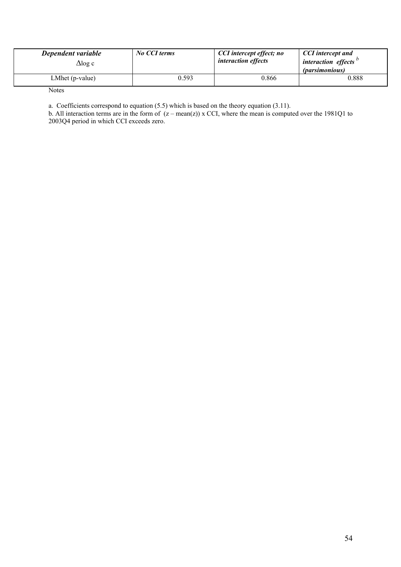| Dependent variable<br>$\triangle$ log c | No CCI terms | CCI intercept effect; no<br><i>interaction effects</i> | <b>CCI</b> intercept and<br><i>interaction effects</i><br><i>(parsimonious)</i> |
|-----------------------------------------|--------------|--------------------------------------------------------|---------------------------------------------------------------------------------|
| LMhet (p-value)                         | 0.593        | 0.866                                                  | 0.888                                                                           |

**Notes** 

a. Coefficients correspond to equation (5.5) which is based on the theory equation (3.11).

b. All interaction terms are in the form of  $(z - mean(z))$  x CCI, where the mean is computed over the 1981Q1 to 2003Q4 period in which CCI exceeds zero.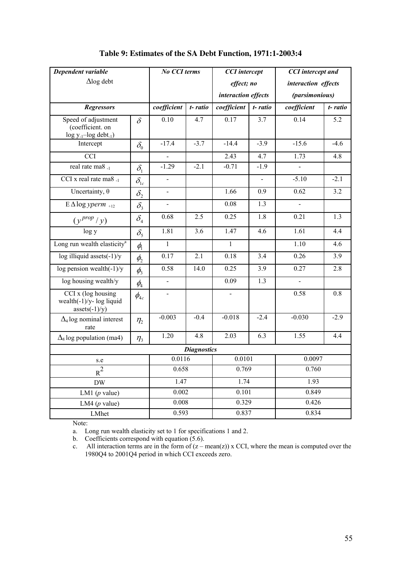| Dependent variable                                                      |                                  | No CCI terms   |         | <b>CCI</b> intercept |                | <b>CCI</b> intercept and |         |
|-------------------------------------------------------------------------|----------------------------------|----------------|---------|----------------------|----------------|--------------------------|---------|
| $\Delta$ log debt                                                       |                                  |                |         | effect; no           |                | interaction effects      |         |
|                                                                         |                                  |                |         | interaction effects  |                | (parsimonious)           |         |
| <b>Regressors</b>                                                       |                                  | coefficient    | t-ratio | coefficient          | t-ratio        | coefficient              | t-ratio |
| Speed of adjustment<br>(coefficient. on<br>$log y_{-1} - log det_{-1})$ | $\delta$                         | 0.10           | 4.7     | 0.17                 | 3.7            | 0.14                     | 5.2     |
| Intercept                                                               | $\delta_{0}$                     | $-17.4$        | $-3.7$  | $-14.4$              | $-3.9$         | $-15.6$                  | $-4.6$  |
| <b>CCI</b>                                                              |                                  |                |         | 2.43                 | 4.7            | 1.73                     | 4.8     |
| real rate ma8 -1                                                        | $\delta_{1}$                     | $-1.29$        | $-2.1$  | $-0.71$              | $-1.9$         |                          |         |
| CCI x real rate ma $8_{-1}$                                             | $\delta_{\text{lc}}$             | $\blacksquare$ |         |                      | $\blacksquare$ | $-5.10$                  | $-2.1$  |
| Uncertainty, $\theta$                                                   | $\delta_{2}$                     | $\overline{a}$ |         | 1.66                 | 0.9            | 0.62                     | 3.2     |
| $E \Delta \log yperm$ <sub>+12</sub>                                    | $\delta_{\rm i}$                 |                |         | 0.08                 | 1.3            |                          |         |
| $(y^{prop}/y)$                                                          | $\delta_{\scriptscriptstyle 4}$  | 0.68           | 2.5     | 0.25                 | 1.8            | 0.21                     | 1.3     |
| log y                                                                   | $\delta_{\rm s}$                 | 1.81           | 3.6     | 1.47                 | 4.6            | 1.61                     | 4.4     |
| Long run wealth elasticity <sup>a</sup>                                 | $\phi_{\scriptscriptstyle \!1}$  | $\mathbf{1}$   |         | $\mathbf{1}$         |                | 1.10                     | 4.6     |
| log illiquid assets $(-1)/y$                                            | $\phi_{2}$                       | 0.17           | 2.1     | 0.18                 | 3.4            | 0.26                     | 3.9     |
| log pension wealth $(-1)/y$                                             | $\phi_{3}$                       | 0.58           | 14.0    | 0.25                 | 3.9            | 0.27                     | 2.8     |
| log housing wealth/y                                                    | $\phi_{\scriptscriptstyle 4}$    | $\overline{a}$ |         | 0.09                 | 1.3            | $\overline{a}$           |         |
| CCI x (log housing<br>wealth(-1)/y- log liquid<br>$asserts(-1)/y)$      | $\phi_{{\scriptscriptstyle 4c}}$ |                |         |                      |                | 0.58                     | 0.8     |
| $\Delta_4$ log nominal interest<br>rate                                 | $\eta_{2}$                       | $-0.003$       | $-0.4$  | $-0.018$             | $-2.4$         | $-0.030$                 | $-2.9$  |
| $\Delta_8$ log population (ma4)                                         | $\eta$ <sub>3</sub>              | 1.20           | 4.8     | 2.03                 | 6.3            | 1.55                     | 4.4     |
| <b>Diagnostics</b>                                                      |                                  |                |         |                      |                |                          |         |
| s.e                                                                     |                                  | 0.0116         |         | 0.0101               |                | 0.0097                   |         |
| $R^2$                                                                   |                                  | 0.658          |         | 0.769                |                | 0.760                    |         |
| $\rm{DW}$                                                               |                                  | 1.47           |         | 1.74                 |                | 1.93                     |         |
| LM1 ( $p$ value)                                                        |                                  | 0.002          |         | 0.101                |                | 0.849                    |         |
| LM4 ( $p$ value)                                                        |                                  | 0.008          |         | 0.329                |                | 0.426                    |         |
| LMhet                                                                   |                                  | 0.593          |         | 0.837                |                | 0.834                    |         |

### **Table 9: Estimates of the SA Debt Function, 1971:1-2003:4**

Note:

a. Long run wealth elasticity set to 1 for specifications 1 and 2.

b. Coefficients correspond with equation (5.6).

c. All interaction terms are in the form of  $(z - mean(z))$  x CCI, where the mean is computed over the 1980Q4 to 2001Q4 period in which CCI exceeds zero.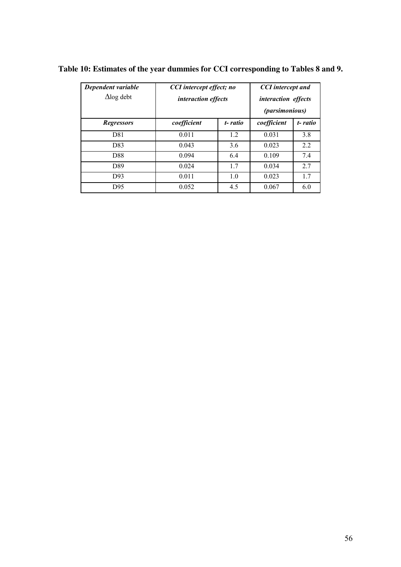| Dependent variable<br>$\Delta$ log debt | CCI intercept effect; no<br><i>interaction effects</i> |         | <b>CCI</b> intercept and<br><i>interaction effects</i><br><i>(parsimonious)</i> |         |  |
|-----------------------------------------|--------------------------------------------------------|---------|---------------------------------------------------------------------------------|---------|--|
| <b>Regressors</b>                       | coefficient                                            | t-ratio | coefficient                                                                     | t-ratio |  |
| D81                                     | 0.011                                                  | 1.2     | 0.031                                                                           | 3.8     |  |
| D83                                     | 0.043                                                  | 3.6     | 0.023                                                                           | 2.2     |  |
| D88                                     | 0.094                                                  | 6.4     | 0.109                                                                           | 7.4     |  |
| D89                                     | 0.024                                                  | 1.7     | 0.034                                                                           | 2.7     |  |
| D93                                     | 0.011                                                  | 1.0     | 0.023                                                                           | 1.7     |  |
| D95                                     | 0.052                                                  | 4.5     | 0.067                                                                           | 6.0     |  |

**Table 10: Estimates of the year dummies for CCI corresponding to Tables 8 and 9.**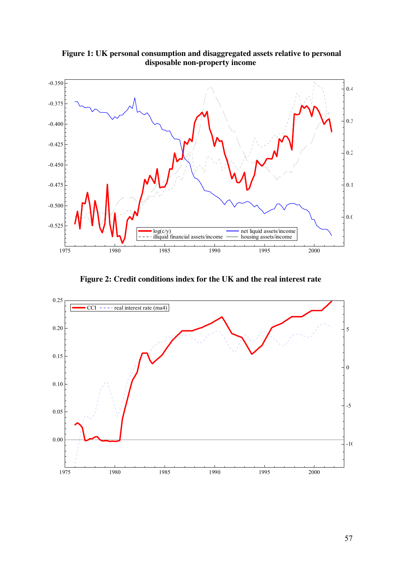

 **Figure 1: UK personal consumption and disaggregated assets relative to personal disposable non-property income** 

**Figure 2: Credit conditions index for the UK and the real interest rate** 

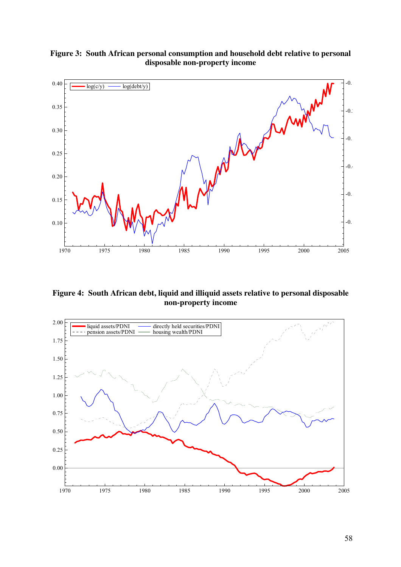

**Figure 3: South African personal consumption and household debt relative to personal disposable non-property income**

**Figure 4: South African debt, liquid and illiquid assets relative to personal disposable non-property income** 

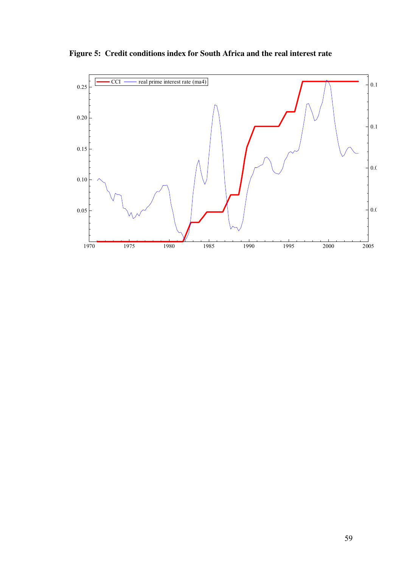

**Figure 5: Credit conditions index for South Africa and the real interest rate**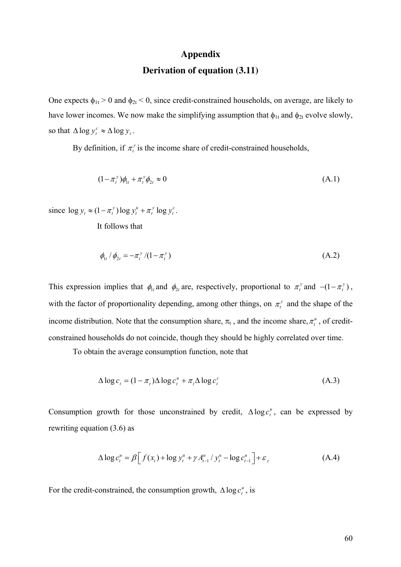#### **Appendix**

#### **Derivation of equation (3.11)**

One expects  $\phi_{1t} > 0$  and  $\phi_{2t} < 0$ , since credit-constrained households, on average, are likely to have lower incomes. We now make the simplifying assumption that  $\phi_{1t}$  and  $\phi_{2t}$  evolve slowly, so that  $\Delta \log y_t^c \approx \Delta \log y_t^c$ .

By definition, if  $\pi_t^y$  is the income share of credit-constrained households,

$$
(1 - \pi_t^{\nu})\phi_{1t} + \pi_t^{\nu}\phi_{2t} \approx 0 \tag{A.1}
$$

since  $\log y_t \approx (1 - \pi_t^y) \log y_t^u + \pi_t^y \log y_t^c$ .  $y'_t$ 

It follows that

$$
\phi_{1t} / \phi_{2t} = -\pi_t^{\,y} / (1 - \pi_t^{\,y}) \tag{A.2}
$$

This expression implies that  $\phi_{1t}$  and  $\phi_{2t}$  are, respectively, proportional to  $\pi_t^y$  and  $-(1 - \pi_t^y)$ , with the factor of proportionality depending, among other things, on  $\pi_t^y$  and the shape of the income distribution. Note that the consumption share,  $\pi_t$ , and the income share,  $\pi_t^u$ , of creditconstrained households do not coincide, though they should be highly correlated over time.

To obtain the average consumption function, note that

$$
\Delta \log c_t = (1 - \pi_t) \Delta \log c_t^u + \pi_t \Delta \log c_t^c \tag{A.3}
$$

Consumption growth for those unconstrained by credit,  $\Delta \log c_i^u$ , can be expressed by rewriting equation (3.6) as

$$
\Delta \log c_t^u = \beta \Big[ f(x_t) + \log y_t^u + \gamma A_{t-1}^u / y_t^u - \log c_{t-1}^u \Big] + \varepsilon_t \tag{A.4}
$$

For the credit-constrained, the consumption growth,  $\Delta \log c_i^u$ , is